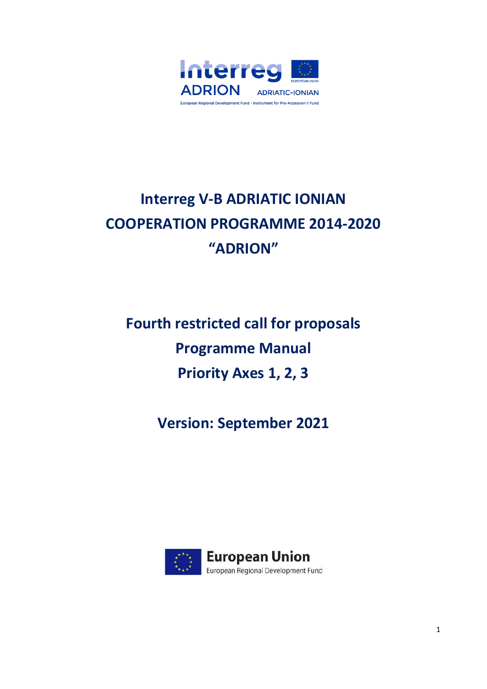

# **Interreg V-B ADRIATIC IONIAN COOPERATION PROGRAMME 2014-2020 "ADRION"**

**Fourth restricted call for proposals Programme Manual Priority Axes 1, 2, 3**

**Version: September 2021**

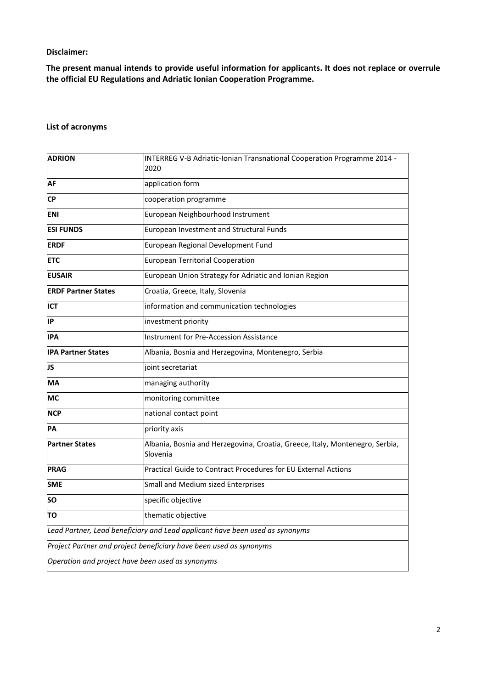# **Disclaimer:**

**The present manual intends to provide useful information for applicants. It does not replace or overrule the official EU Regulations and Adriatic Ionian Cooperation Programme.**

# **List of acronyms**

| <b>ADRION</b>                                                      | INTERREG V-B Adriatic-Ionian Transnational Cooperation Programme 2014 -<br>2020          |  |  |
|--------------------------------------------------------------------|------------------------------------------------------------------------------------------|--|--|
| <b>AF</b>                                                          | application form                                                                         |  |  |
| <b>CP</b>                                                          | cooperation programme                                                                    |  |  |
| <b>ENI</b>                                                         | European Neighbourhood Instrument                                                        |  |  |
| <b>ESI FUNDS</b>                                                   | European Investment and Structural Funds                                                 |  |  |
| <b>ERDF</b>                                                        | European Regional Development Fund                                                       |  |  |
| <b>ETC</b>                                                         | <b>European Territorial Cooperation</b>                                                  |  |  |
| <b>EUSAIR</b>                                                      | European Union Strategy for Adriatic and Ionian Region                                   |  |  |
| <b>ERDF Partner States</b>                                         | Croatia, Greece, Italy, Slovenia                                                         |  |  |
| <b>ICT</b>                                                         | information and communication technologies                                               |  |  |
| lΙP                                                                | investment priority                                                                      |  |  |
| <b>IPA</b>                                                         | <b>Instrument for Pre-Accession Assistance</b>                                           |  |  |
| <b>IPA Partner States</b>                                          | Albania, Bosnia and Herzegovina, Montenegro, Serbia                                      |  |  |
| JS                                                                 | joint secretariat                                                                        |  |  |
| МA                                                                 | managing authority                                                                       |  |  |
| МC                                                                 | monitoring committee                                                                     |  |  |
| <b>NCP</b>                                                         | national contact point                                                                   |  |  |
| PA                                                                 | priority axis                                                                            |  |  |
| <b>Partner States</b>                                              | Albania, Bosnia and Herzegovina, Croatia, Greece, Italy, Montenegro, Serbia,<br>Slovenia |  |  |
| <b>PRAG</b>                                                        | Practical Guide to Contract Procedures for EU External Actions                           |  |  |
| <b>SME</b>                                                         | Small and Medium sized Enterprises                                                       |  |  |
| SΟ                                                                 | specific objective                                                                       |  |  |
| TO                                                                 | thematic objective                                                                       |  |  |
|                                                                    | Lead Partner, Lead beneficiary and Lead applicant have been used as synonyms             |  |  |
| Project Partner and project beneficiary have been used as synonyms |                                                                                          |  |  |
| Operation and project have been used as synonyms                   |                                                                                          |  |  |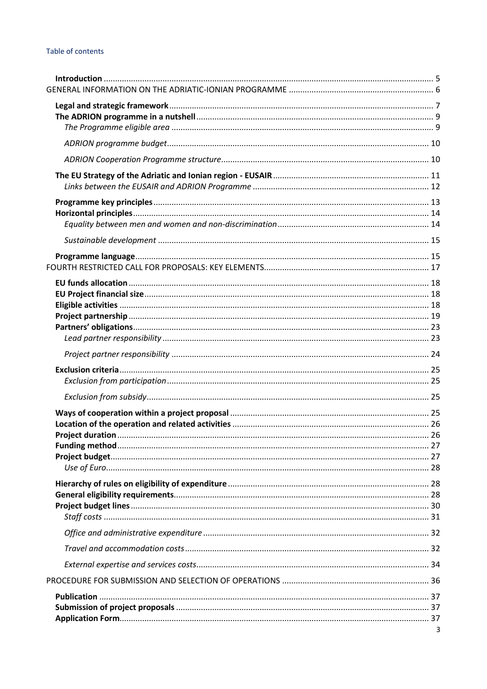# Table of contents

| 3 |
|---|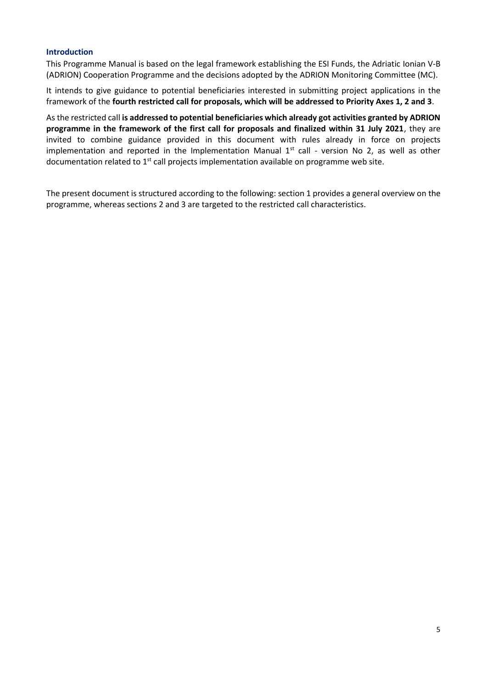#### <span id="page-4-0"></span>**Introduction**

This Programme Manual is based on the legal framework establishing the ESI Funds, the Adriatic Ionian V-B (ADRION) Cooperation Programme and the decisions adopted by the ADRION Monitoring Committee (MC).

It intends to give guidance to potential beneficiaries interested in submitting project applications in the framework of the **fourth restricted call for proposals, which will be addressed to Priority Axes 1, 2 and 3**.

As the restricted call **is addressed to potential beneficiaries which already got activities granted by ADRION programme in the framework of the first call for proposals and finalized within 31 July 2021**, they are invited to combine guidance provided in this document with rules already in force on projects implementation and reported in the Implementation Manual  $1<sup>st</sup>$  call - version No 2, as well as other documentation related to 1<sup>st</sup> call projects implementation available on programme web site.

The present document is structured according to the following: section 1 provides a general overview on the programme, whereas sections 2 and 3 are targeted to the restricted call characteristics.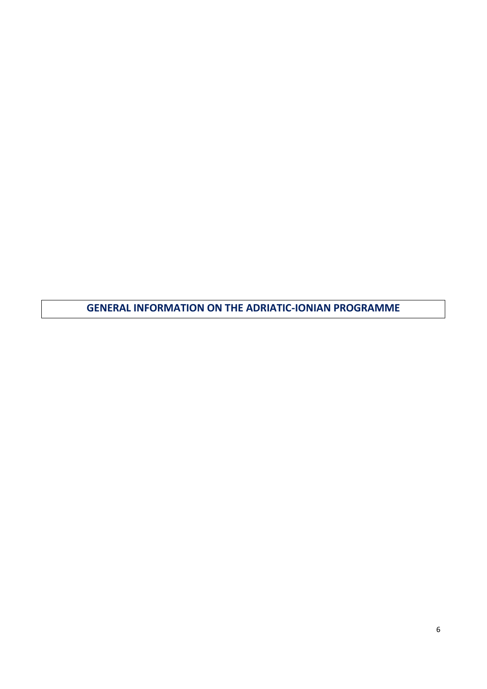<span id="page-5-0"></span>**GENERAL INFORMATION ON THE ADRIATIC-IONIAN PROGRAMME**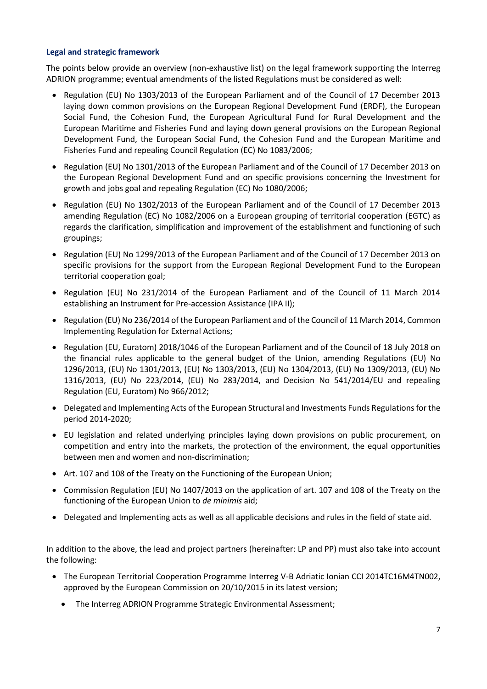# <span id="page-6-0"></span>**Legal and strategic framework**

The points below provide an overview (non-exhaustive list) on the legal framework supporting the Interreg ADRION programme; eventual amendments of the listed Regulations must be considered as well:

- Regulation (EU) No 1303/2013 of the European Parliament and of the Council of 17 December 2013 laying down common provisions on the European Regional Development Fund (ERDF), the European Social Fund, the Cohesion Fund, the European Agricultural Fund for Rural Development and the European Maritime and Fisheries Fund and laying down general provisions on the European Regional Development Fund, the European Social Fund, the Cohesion Fund and the European Maritime and Fisheries Fund and repealing Council Regulation (EC) No 1083/2006;
- Regulation (EU) No 1301/2013 of the European Parliament and of the Council of 17 December 2013 on the European Regional Development Fund and on specific provisions concerning the Investment for growth and jobs goal and repealing Regulation (EC) No 1080/2006;
- Regulation (EU) No 1302/2013 of the European Parliament and of the Council of 17 December 2013 amending Regulation (EC) No 1082/2006 on a European grouping of territorial cooperation (EGTC) as regards the clarification, simplification and improvement of the establishment and functioning of such groupings;
- Regulation (EU) No 1299/2013 of the European Parliament and of the Council of 17 December 2013 on specific provisions for the support from the European Regional Development Fund to the European territorial cooperation goal;
- Regulation (EU) No 231/2014 of the European Parliament and of the Council of 11 March 2014 establishing an Instrument for Pre-accession Assistance (IPA II);
- Regulation (EU) No 236/2014 of the European Parliament and of the Council of 11 March 2014, Common Implementing Regulation for External Actions;
- Regulation (EU, Euratom) 2018/1046 of the European Parliament and of the Council of 18 July 2018 on the financial rules applicable to the general budget of the Union, amending Regulations (EU) No 1296/2013, (EU) No 1301/2013, (EU) No 1303/2013, (EU) No 1304/2013, (EU) No 1309/2013, (EU) No 1316/2013, (EU) No 223/2014, (EU) No 283/2014, and Decision No 541/2014/EU and repealing Regulation (EU, Euratom) No 966/2012;
- Delegated and Implementing Acts of the European Structural and Investments Funds Regulations for the period 2014-2020;
- EU legislation and related underlying principles laying down provisions on public procurement, on competition and entry into the markets, the protection of the environment, the equal opportunities between men and women and non-discrimination;
- Art. 107 and 108 of the Treaty on the Functioning of the European Union;
- Commission Regulation (EU) No 1407/2013 on the application of art. 107 and 108 of the Treaty on the functioning of the European Union to *de minimis* aid;
- Delegated and Implementing acts as well as all applicable decisions and rules in the field of state aid.

In addition to the above, the lead and project partners (hereinafter: LP and PP) must also take into account the following:

- The European Territorial Cooperation Programme Interreg V-B Adriatic Ionian CCI 2014TC16M4TN002, approved by the European Commission on 20/10/2015 in its latest version;
	- The Interreg ADRION Programme Strategic Environmental Assessment;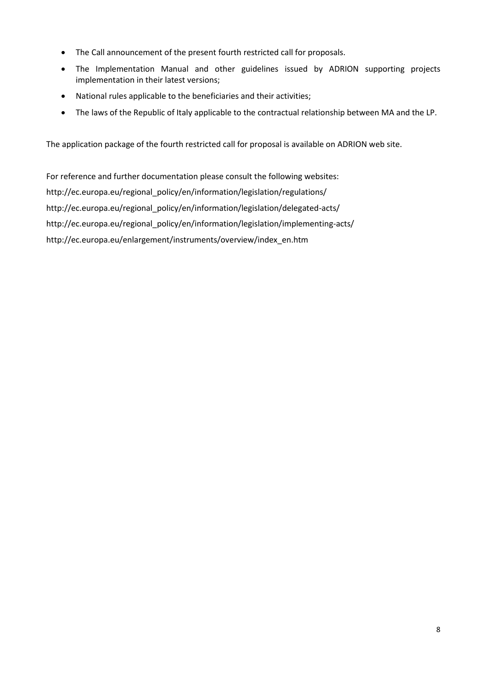- The Call announcement of the present fourth restricted call for proposals.
- The Implementation Manual and other guidelines issued by ADRION supporting projects implementation in their latest versions;
- National rules applicable to the beneficiaries and their activities;
- The laws of the Republic of Italy applicable to the contractual relationship between MA and the LP.

The application package of the fourth restricted call for proposal is available on ADRION web site.

For reference and further documentation please consult the following websites: [http://ec.europa.eu/regional\\_policy/en/information/legislation/regulations/](http://ec.europa.eu/regional_policy/en/information/legislation/regulations/) [http://ec.europa.eu/regional\\_policy/en/information/legislation/delegated-acts/](http://ec.europa.eu/regional_policy/en/information/legislation/delegated-acts/) [http://ec.europa.eu/regional\\_policy/en/information/legislation/implementing-acts/](http://ec.europa.eu/regional_policy/en/information/legislation/implementing-acts/) [http://ec.europa.eu/enlargement/instruments/overview/index\\_en.htm](http://ec.europa.eu/enlargement/instruments/overview/index_en.htm)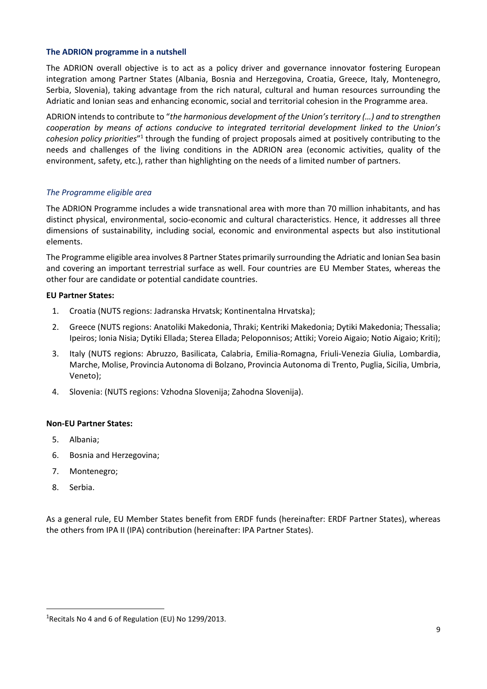# <span id="page-8-0"></span>**The ADRION programme in a nutshell**

The ADRION overall objective is to act as a policy driver and governance innovator fostering European integration among Partner States (Albania, Bosnia and Herzegovina, Croatia, Greece, Italy, Montenegro, Serbia, Slovenia), taking advantage from the rich natural, cultural and human resources surrounding the Adriatic and Ionian seas and enhancing economic, social and territorial cohesion in the Programme area.

ADRION intends to contribute to "*the harmonious development of the Union's territory (…) and to strengthen cooperation by means of actions conducive to integrated territorial development linked to the Union's*  cohesion policy priorities"<sup>1</sup> through the funding of project proposals aimed at positively contributing to the needs and challenges of the living conditions in the ADRION area (economic activities, quality of the environment, safety, etc.), rather than highlighting on the needs of a limited number of partners.

# <span id="page-8-1"></span>*The Programme eligible area*

The ADRION Programme includes a wide transnational area with more than 70 million inhabitants, and has distinct physical, environmental, socio-economic and cultural characteristics. Hence, it addresses all three dimensions of sustainability, including social, economic and environmental aspects but also institutional elements.

The Programme eligible area involves 8 Partner States primarily surrounding the Adriatic and Ionian Sea basin and covering an important terrestrial surface as well. Four countries are EU Member States, whereas the other four are candidate or potential candidate countries.

#### **EU Partner States:**

- 1. Croatia (NUTS regions: Jadranska Hrvatsk; Kontinentalna Hrvatska);
- 2. Greece (NUTS regions: Anatoliki Makedonia, Thraki; Kentriki Makedonia; Dytiki Makedonia; Thessalia; Ipeiros; Ionia Nisia; Dytiki Ellada; Sterea Ellada; Peloponnisos; Attiki; Voreio Aigaio; Notio Aigaio; Kriti);
- 3. Italy (NUTS regions: Abruzzo, Basilicata, Calabria, Emilia-Romagna, Friuli-Venezia Giulia, Lombardia, Marche, Molise, Provincia Autonoma di Bolzano, Provincia Autonoma di Trento, Puglia, Sicilia, Umbria, Veneto);
- 4. Slovenia: (NUTS regions: Vzhodna Slovenija; Zahodna Slovenija).

#### **Non-EU Partner States:**

- 5. Albania;
- 6. Bosnia and Herzegovina;
- 7. Montenegro;
- 8. Serbia.

As a general rule, EU Member States benefit from ERDF funds (hereinafter: ERDF Partner States), whereas the others from IPA II (IPA) contribution (hereinafter: IPA Partner States).

<sup>&</sup>lt;sup>1</sup>Recitals No 4 and 6 of Regulation (EU) No 1299/2013.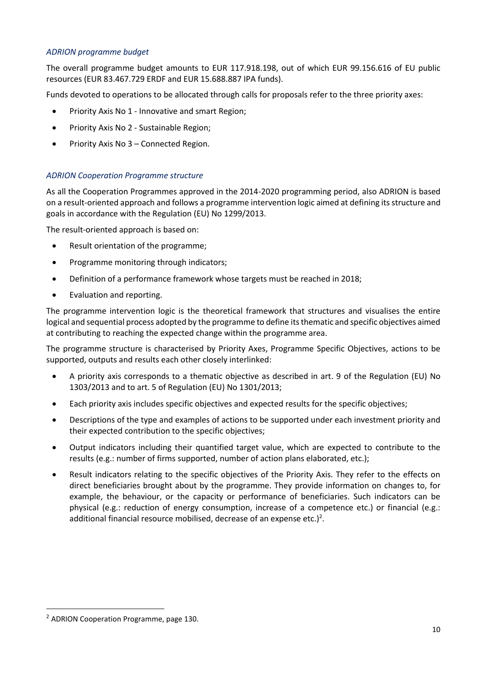# <span id="page-9-0"></span>*ADRION programme budget*

The overall programme budget amounts to EUR 117.918.198, out of which EUR 99.156.616 of EU public resources (EUR 83.467.729 ERDF and EUR 15.688.887 IPA funds).

Funds devoted to operations to be allocated through calls for proposals refer to the three priority axes:

- Priority Axis No 1 Innovative and smart Region;
- Priority Axis No 2 Sustainable Region;
- Priority Axis No 3 Connected Region.

# <span id="page-9-1"></span>*ADRION Cooperation Programme structure*

As all the Cooperation Programmes approved in the 2014-2020 programming period, also ADRION is based on a result-oriented approach and follows a programme intervention logic aimed at defining its structure and goals in accordance with the Regulation (EU) No 1299/2013.

The result-oriented approach is based on:

- Result orientation of the programme;
- Programme monitoring through indicators;
- Definition of a performance framework whose targets must be reached in 2018;
- Evaluation and reporting.

The programme intervention logic is the theoretical framework that structures and visualises the entire logical and sequential process adopted by the programme to define its thematic and specific objectives aimed at contributing to reaching the expected change within the programme area.

The programme structure is characterised by Priority Axes, Programme Specific Objectives, actions to be supported, outputs and results each other closely interlinked:

- A priority axis corresponds to a thematic objective as described in art. 9 of the Regulation (EU) No 1303/2013 and to art. 5 of Regulation (EU) No 1301/2013;
- Each priority axis includes specific objectives and expected results for the specific objectives;
- Descriptions of the type and examples of actions to be supported under each investment priority and their expected contribution to the specific objectives;
- Output indicators including their quantified target value, which are expected to contribute to the results (e.g.: number of firms supported, number of action plans elaborated, etc.);
- Result indicators relating to the specific objectives of the Priority Axis. They refer to the effects on direct beneficiaries brought about by the programme. They provide information on changes to, for example, the behaviour, or the capacity or performance of beneficiaries. Such indicators can be physical (e.g.: reduction of energy consumption, increase of a competence etc.) or financial (e.g.: additional financial resource mobilised, decrease of an expense etc.)<sup>2</sup>.

<sup>2</sup> ADRION Cooperation Programme, page 130.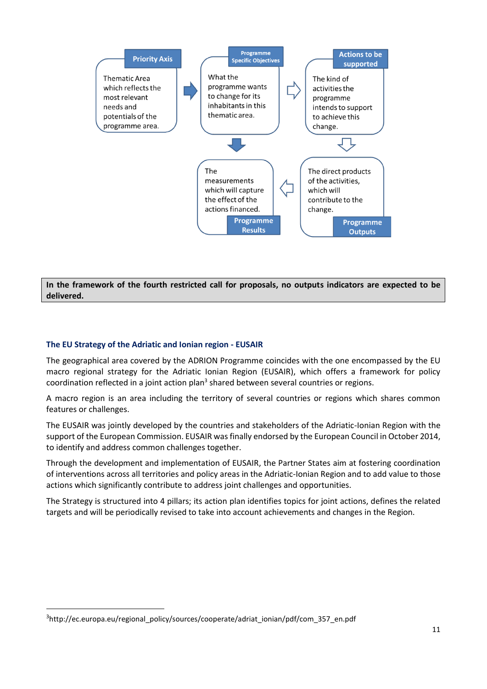

**In the framework of the fourth restricted call for proposals, no outputs indicators are expected to be delivered.**

# <span id="page-10-0"></span>**The EU Strategy of the Adriatic and Ionian region - EUSAIR**

The geographical area covered by the ADRION Programme coincides with the one encompassed by the EU macro regional strategy for the Adriatic Ionian Region (EUSAIR), which offers a framework for policy coordination reflected in a joint action plan<sup>3</sup> shared between several countries or regions.

A macro region is an area including the territory of several countries or regions which shares common features or challenges.

The EUSAIR was jointly developed by the countries and stakeholders of the Adriatic-Ionian Region with the support of the European Commission. EUSAIR was finally endorsed by the European Council in October 2014, to identify and address common challenges together.

Through the development and implementation of EUSAIR, the Partner States aim at fostering coordination of interventions across all territories and policy areas in the Adriatic-Ionian Region and to add value to those actions which significantly contribute to address joint challenges and opportunities.

The Strategy is structured into 4 pillars; its action plan identifies topics for joint actions, defines the related targets and will be periodically revised to take into account achievements and changes in the Region.

<sup>3</sup> http://ec.europa.eu/regional\_policy/sources/cooperate/adriat\_ionian/pdf/com\_357\_en.pdf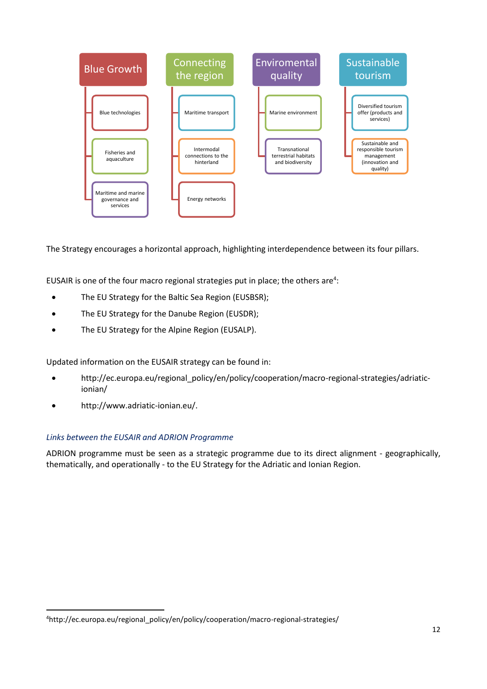

The Strategy encourages a horizontal approach, highlighting interdependence between its four pillars.

EUSAIR is one of the four macro regional strategies put in place; the others are<sup>4</sup>:

- [The EU Strategy for the Baltic Sea Region](http://ec.europa.eu/regional_policy/en/policy/cooperation/macro-regional-strategies/baltic-sea/) (EUSBSR);
- [The EU Strategy for the Danube Region](http://ec.europa.eu/regional_policy/en/policy/cooperation/macro-regional-strategies/danube/) (EUSDR);
- The EU Strategy for the Alpine Region (EUSALP).

Updated information on the EUSAIR strategy can be found in:

- http://ec.europa.eu/regional\_policy/en/policy/cooperation/macro-regional-strategies/adriaticionian/
- [http://www.adriatic-ionian.eu/.](http://www.adriatic-ionian.eu/)

# <span id="page-11-0"></span>*Links between the EUSAIR and ADRION Programme*

ADRION programme must be seen as a strategic programme due to its direct alignment - geographically, thematically, and operationally - to the EU Strategy for the Adriatic and Ionian Region.

<sup>4</sup>http://ec.europa.eu/regional\_policy/en/policy/cooperation/macro-regional-strategies/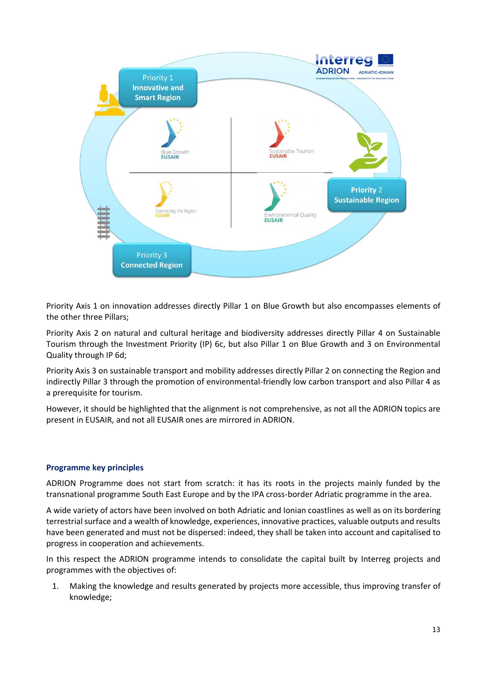

Priority Axis 1 on innovation addresses directly Pillar 1 on Blue Growth but also encompasses elements of the other three Pillars;

Priority Axis 2 on natural and cultural heritage and biodiversity addresses directly Pillar 4 on Sustainable Tourism through the Investment Priority (IP) 6c, but also Pillar 1 on Blue Growth and 3 on Environmental Quality through IP 6d;

Priority Axis 3 on sustainable transport and mobility addresses directly Pillar 2 on connecting the Region and indirectly Pillar 3 through the promotion of environmental-friendly low carbon transport and also Pillar 4 as a prerequisite for tourism.

However, it should be highlighted that the alignment is not comprehensive, as not all the ADRION topics are present in EUSAIR, and not all EUSAIR ones are mirrored in ADRION.

# <span id="page-12-0"></span>**Programme key principles**

ADRION Programme does not start from scratch: it has its roots in the projects mainly funded by the transnational programme South East Europe and by the IPA cross-border Adriatic programme in the area.

A wide variety of actors have been involved on both Adriatic and Ionian coastlines as well as on its bordering terrestrial surface and a wealth of knowledge, experiences, innovative practices, valuable outputs and results have been generated and must not be dispersed: indeed, they shall be taken into account and capitalised to progress in cooperation and achievements.

In this respect the ADRION programme intends to consolidate the capital built by Interreg projects and programmes with the objectives of:

1. Making the knowledge and results generated by projects more accessible, thus improving transfer of knowledge;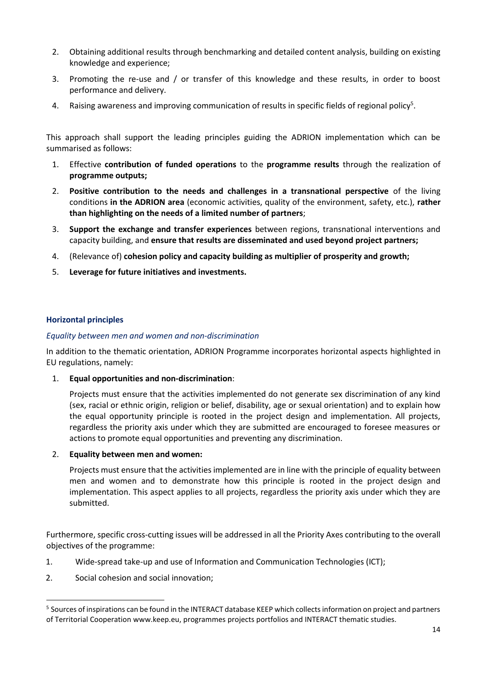- 2. Obtaining additional results through benchmarking and detailed content analysis, building on existing knowledge and experience;
- 3. Promoting the re-use and / or transfer of this knowledge and these results, in order to boost performance and delivery.
- 4. Raising awareness and improving communication of results in specific fields of regional policy<sup>5</sup>.

This approach shall support the leading principles guiding the ADRION implementation which can be summarised as follows:

- 1. Effective **contribution of funded operations** to the **programme results** through the realization of **programme outputs;**
- 2. **Positive contribution to the needs and challenges in a transnational perspective** of the living conditions **in the ADRION area** (economic activities, quality of the environment, safety, etc.), **rather than highlighting on the needs of a limited number of partners**;
- 3. **Support the exchange and transfer experiences** between regions, transnational interventions and capacity building, and **ensure that results are disseminated and used beyond project partners;**
- 4. (Relevance of) **cohesion policy and capacity building as multiplier of prosperity and growth;**
- 5. **Leverage for future initiatives and investments.**

# <span id="page-13-0"></span>**Horizontal principles**

# <span id="page-13-1"></span>*Equality between men and women and non-discrimination*

In addition to the thematic orientation, ADRION Programme incorporates horizontal aspects highlighted in EU regulations, namely:

1. **Equal opportunities and non-discrimination**:

Projects must ensure that the activities implemented do not generate sex discrimination of any kind (sex, racial or ethnic origin, religion or belief, disability, age or sexual orientation) and to explain how the equal opportunity principle is rooted in the project design and implementation. All projects, regardless the priority axis under which they are submitted are encouraged to foresee measures or actions to promote equal opportunities and preventing any discrimination.

# 2. **Equality between men and women:**

Projects must ensure that the activities implemented are in line with the principle of equality between men and women and to demonstrate how this principle is rooted in the project design and implementation. This aspect applies to all projects, regardless the priority axis under which they are submitted.

Furthermore, specific cross-cutting issues will be addressed in all the Priority Axes contributing to the overall objectives of the programme:

- 1. Wide-spread take-up and use of Information and Communication Technologies (ICT);
- 2. Social cohesion and social innovation;

<sup>&</sup>lt;sup>5</sup> Sources of inspirations can be found in the INTERACT database KEEP which collects information on project and partners of Territorial Cooperation [www.keep.eu,](http://www.keep.eu/) programmes projects portfolios and INTERACT thematic studies.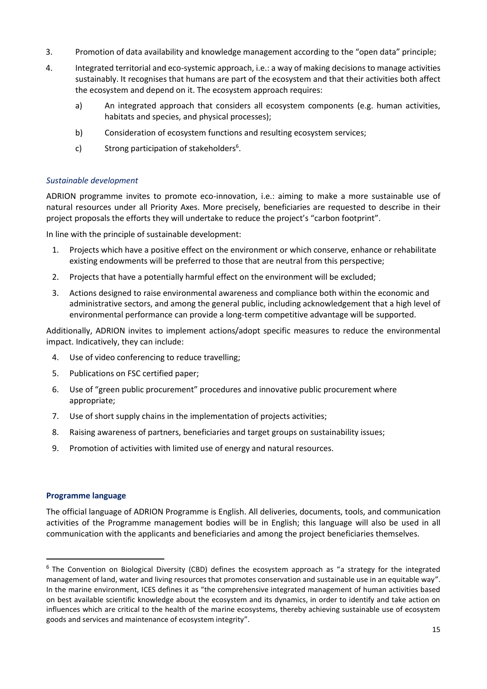- 3. Promotion of data availability and knowledge management according to the "open data" principle;
- 4. Integrated territorial and eco-systemic approach, i.e.: a way of making decisions to manage activities sustainably. It recognises that humans are part of the ecosystem and that their activities both affect the ecosystem and depend on it. The ecosystem approach requires:
	- a) An integrated approach that considers all ecosystem components (e.g. human activities, habitats and species, and physical processes);
	- b) Consideration of ecosystem functions and resulting ecosystem services;
	- c) Strong participation of stakeholders<sup>6</sup>.

# <span id="page-14-0"></span>*Sustainable development*

ADRION programme invites to promote eco-innovation, i.e.: aiming to make a more sustainable use of natural resources under all Priority Axes. More precisely, beneficiaries are requested to describe in their project proposals the efforts they will undertake to reduce the project's "carbon footprint".

In line with the principle of sustainable development:

- 1. Projects which have a positive effect on the environment or which conserve, enhance or rehabilitate existing endowments will be preferred to those that are neutral from this perspective;
- 2. Projects that have a potentially harmful effect on the environment will be excluded;
- 3. Actions designed to raise environmental awareness and compliance both within the economic and administrative sectors, and among the general public, including acknowledgement that a high level of environmental performance can provide a long-term competitive advantage will be supported.

Additionally, ADRION invites to implement actions/adopt specific measures to reduce the environmental impact. Indicatively, they can include:

- 4. Use of video conferencing to reduce travelling;
- 5. Publications on FSC certified paper;
- 6. Use of "green public procurement" procedures and innovative public procurement where appropriate;
- 7. Use of short supply chains in the implementation of projects activities;
- 8. Raising awareness of partners, beneficiaries and target groups on sustainability issues;
- 9. Promotion of activities with limited use of energy and natural resources.

# <span id="page-14-1"></span>**Programme language**

The official language of ADRION Programme is English. All deliveries, documents, tools, and communication activities of the Programme management bodies will be in English; this language will also be used in all communication with the applicants and beneficiaries and among the project beneficiaries themselves.

<sup>&</sup>lt;sup>6</sup> The Convention on Biological Diversity (CBD) defines the ecosystem approach as "a strategy for the integrated management of land, water and living resources that promotes conservation and sustainable use in an equitable way". In the marine environment, ICES defines it as "the comprehensive integrated management of human activities based on best available scientific knowledge about the ecosystem and its dynamics, in order to identify and take action on influences which are critical to the health of the marine ecosystems, thereby achieving sustainable use of ecosystem goods and services and maintenance of ecosystem integrity".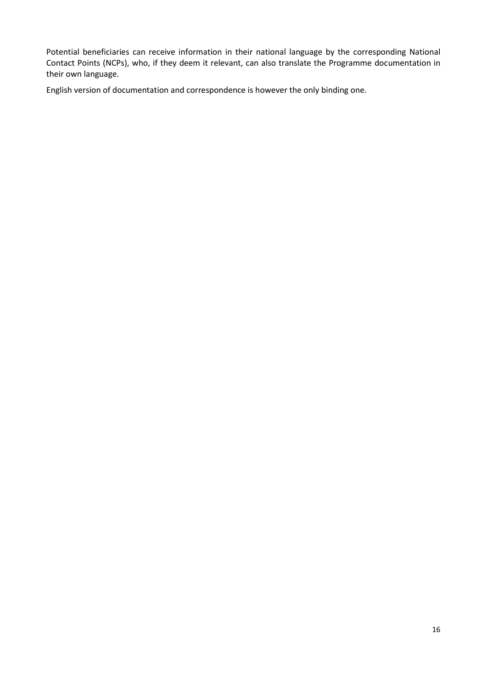Potential beneficiaries can receive information in their national language by the corresponding National Contact Points (NCPs), who, if they deem it relevant, can also translate the Programme documentation in their own language.

English version of documentation and correspondence is however the only binding one.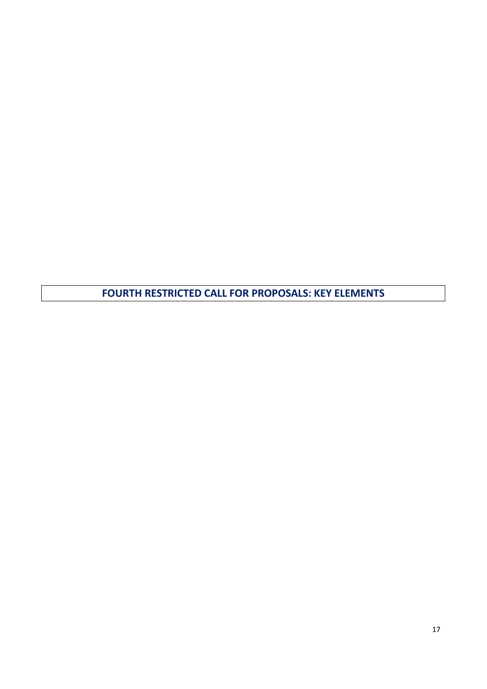<span id="page-16-0"></span>**FOURTH RESTRICTED CALL FOR PROPOSALS: KEY ELEMENTS**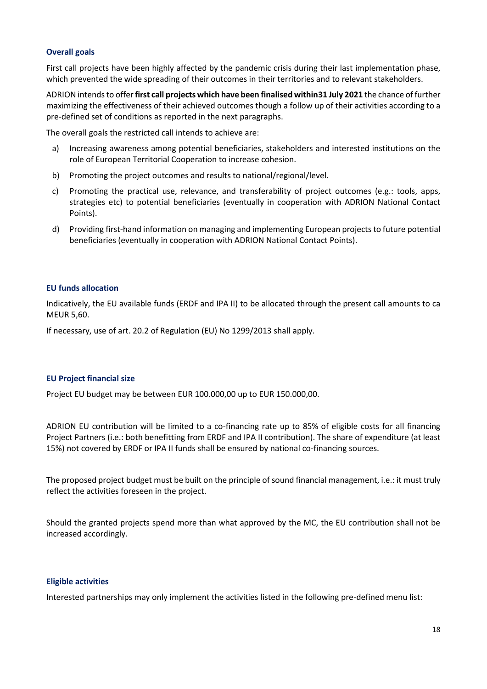# **Overall goals**

First call projects have been highly affected by the pandemic crisis during their last implementation phase, which prevented the wide spreading of their outcomes in their territories and to relevant stakeholders.

ADRION intends to offer **first call projects which have been finalised within31 July 2021** the chance of further maximizing the effectiveness of their achieved outcomes though a follow up of their activities according to a pre-defined set of conditions as reported in the next paragraphs.

The overall goals the restricted call intends to achieve are:

- a) Increasing awareness among potential beneficiaries, stakeholders and interested institutions on the role of European Territorial Cooperation to increase cohesion.
- b) Promoting the project outcomes and results to national/regional/level.
- c) Promoting the practical use, relevance, and transferability of project outcomes (e.g.: tools, apps, strategies etc) to potential beneficiaries (eventually in cooperation with ADRION National Contact Points).
- d) Providing first-hand information on managing and implementing European projects to future potential beneficiaries (eventually in cooperation with ADRION National Contact Points).

#### <span id="page-17-0"></span>**EU funds allocation**

Indicatively, the EU available funds (ERDF and IPA II) to be allocated through the present call amounts to ca MEUR 5,60.

If necessary, use of art. 20.2 of Regulation (EU) No 1299/2013 shall apply.

# <span id="page-17-1"></span>**EU Project financial size**

Project EU budget may be between EUR 100.000,00 up to EUR 150.000,00.

ADRION EU contribution will be limited to a co-financing rate up to 85% of eligible costs for all financing Project Partners (i.e.: both benefitting from ERDF and IPA II contribution). The share of expenditure (at least 15%) not covered by ERDF or IPA II funds shall be ensured by national co-financing sources.

The proposed project budget must be built on the principle of sound financial management, i.e.: it must truly reflect the activities foreseen in the project.

Should the granted projects spend more than what approved by the MC, the EU contribution shall not be increased accordingly.

# <span id="page-17-2"></span>**Eligible activities**

Interested partnerships may only implement the activities listed in the following pre-defined menu list: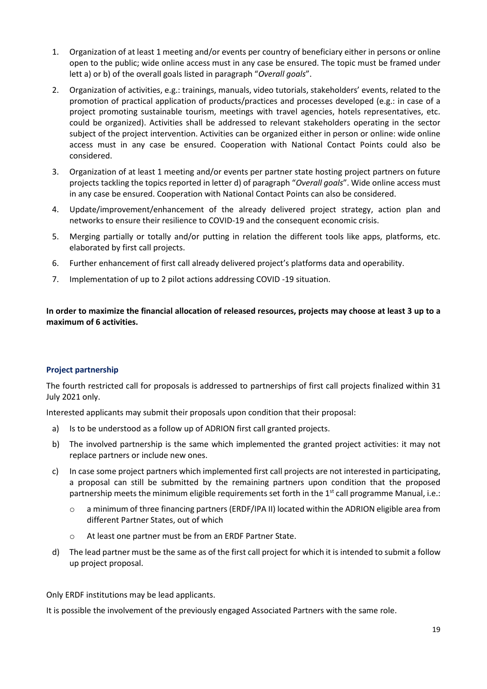- 1. Organization of at least 1 meeting and/or events per country of beneficiary either in persons or online open to the public; wide online access must in any case be ensured. The topic must be framed under lett a) or b) of the overall goals listed in paragraph "*Overall goals*".
- 2. Organization of activities, e.g.: trainings, manuals, video tutorials, stakeholders' events, related to the promotion of practical application of products/practices and processes developed (e.g.: in case of a project promoting sustainable tourism, meetings with travel agencies, hotels representatives, etc. could be organized). Activities shall be addressed to relevant stakeholders operating in the sector subject of the project intervention. Activities can be organized either in person or online: wide online access must in any case be ensured. Cooperation with National Contact Points could also be considered.
- 3. Organization of at least 1 meeting and/or events per partner state hosting project partners on future projects tackling the topics reported in letter d) of paragraph "*Overall goals*". Wide online access must in any case be ensured. Cooperation with National Contact Points can also be considered.
- 4. Update/improvement/enhancement of the already delivered project strategy, action plan and networks to ensure their resilience to COVID-19 and the consequent economic crisis.
- 5. Merging partially or totally and/or putting in relation the different tools like apps, platforms, etc. elaborated by first call projects.
- 6. Further enhancement of first call already delivered project's platforms data and operability.
- 7. Implementation of up to 2 pilot actions addressing COVID -19 situation.

**In order to maximize the financial allocation of released resources, projects may choose at least 3 up to a maximum of 6 activities.**

# <span id="page-18-0"></span>**Project partnership**

The fourth restricted call for proposals is addressed to partnerships of first call projects finalized within 31 July 2021 only.

Interested applicants may submit their proposals upon condition that their proposal:

- a) Is to be understood as a follow up of ADRION first call granted projects.
- b) The involved partnership is the same which implemented the granted project activities: it may not replace partners or include new ones.
- c) In case some project partners which implemented first call projects are not interested in participating, a proposal can still be submitted by the remaining partners upon condition that the proposed partnership meets the minimum eligible requirements set forth in the  $1<sup>st</sup>$  call programme Manual, i.e.:
	- o a minimum of three financing partners (ERDF/IPA II) located within the ADRION eligible area from different Partner States, out of which
	- o At least one partner must be from an ERDF Partner State.
- d) The lead partner must be the same as of the first call project for which it is intended to submit a follow up project proposal.

Only ERDF institutions may be lead applicants.

It is possible the involvement of the previously engaged Associated Partners with the same role.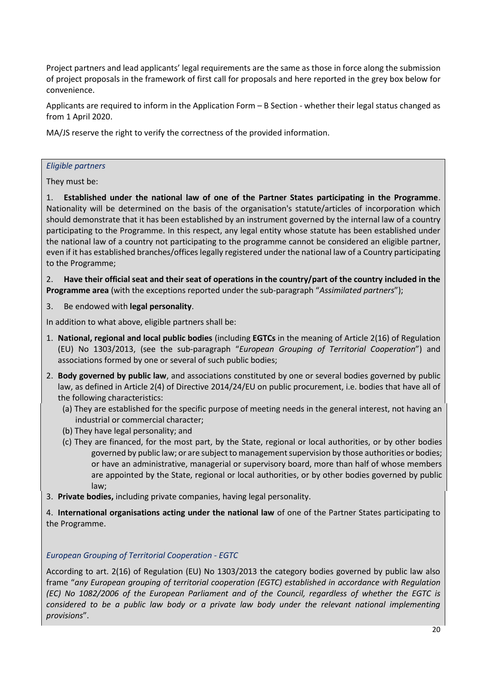Project partners and lead applicants' legal requirements are the same as those in force along the submission of project proposals in the framework of first call for proposals and here reported in the grey box below for convenience.

Applicants are required to inform in the Application Form – B Section - whether their legal status changed as from 1 April 2020.

MA/JS reserve the right to verify the correctness of the provided information.

# *Eligible partners*

They must be:

1. **Established under the national law of one of the Partner States participating in the Programme**. Nationality will be determined on the basis of the organisation's statute/articles of incorporation which should demonstrate that it has been established by an instrument governed by the internal law of a country participating to the Programme. In this respect, any legal entity whose statute has been established under the national law of a country not participating to the programme cannot be considered an eligible partner, even if it has established branches/offices legally registered under the national law of a Country participating to the Programme;

2. **Have their official seat and their seat of operations in the country/part of the country included in the Programme area** (with the exceptions reported under the sub-paragraph "*Assimilated partners*");

3. Be endowed with **legal personality**.

In addition to what above, eligible partners shall be:

- 1. **National, regional and local public bodies** (including **EGTCs** in the meaning of Article 2(16) of Regulation (EU) No 1303/2013, (see the sub-paragraph "*European Grouping of Territorial Cooperation*") and associations formed by one or several of such public bodies;
- 2. **Body governed by public law**, and associations constituted by one or several bodies governed by public law, as defined in Article 2(4) of Directive 2014/24/EU on public procurement, i.e. bodies that have all of the following characteristics:
	- (a) They are established for the specific purpose of meeting needs in the general interest, not having an industrial or commercial character;
	- (b) They have legal personality; and
	- (c) They are financed, for the most part, by the State, regional or local authorities, or by other bodies governed by public law; or are subject to management supervision by those authorities or bodies; or have an administrative, managerial or supervisory board, more than half of whose members are appointed by the State, regional or local authorities, or by other bodies governed by public law;
- 3. **Private bodies,** including private companies, having legal personality.
- 4. **International organisations acting under the national law** of one of the Partner States participating to the Programme.

# *European Grouping of Territorial Cooperation - EGTC*

According to art. 2(16) of Regulation (EU) No 1303/2013 the category bodies governed by public law also frame "*any European grouping of territorial cooperation (EGTC) established in accordance with Regulation (EC) No 1082/2006 of the European Parliament and of the Council, regardless of whether the EGTC is considered to be a public law body or a private law body under the relevant national implementing provisions*".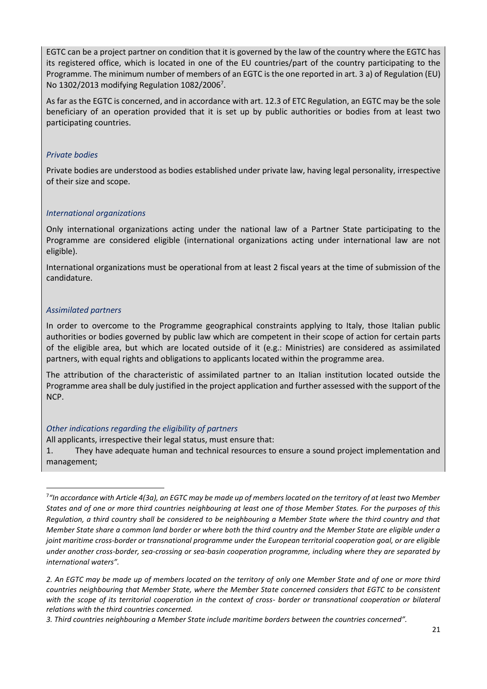EGTC can be a project partner on condition that it is governed by the law of the country where the EGTC has its registered office, which is located in one of the EU countries/part of the country participating to the Programme. The minimum number of members of an EGTC is the one reported in art. 3 a) of Regulation (EU) No 1302/2013 modifying Regulation 1082/2006<sup>7</sup>.

As far as the EGTC is concerned, and in accordance with art. 12.3 of ETC Regulation, an EGTC may be the sole beneficiary of an operation provided that it is set up by public authorities or bodies from at least two participating countries.

# *Private bodies*

Private bodies are understood as bodies established under private law, having legal personality, irrespective of their size and scope.

# *International organizations*

Only international organizations acting under the national law of a Partner State participating to the Programme are considered eligible (international organizations acting under international law are not eligible).

International organizations must be operational from at least 2 fiscal years at the time of submission of the candidature.

# *Assimilated partners*

In order to overcome to the Programme geographical constraints applying to Italy, those Italian public authorities or bodies governed by public law which are competent in their scope of action for certain parts of the eligible area, but which are located outside of it (e.g.: Ministries) are considered as assimilated partners, with equal rights and obligations to applicants located within the programme area.

The attribution of the characteristic of assimilated partner to an Italian institution located outside the Programme area shall be duly justified in the project application and further assessed with the support of the NCP.

# *Other indications regarding the eligibility of partners*

All applicants, irrespective their legal status, must ensure that:

1. They have adequate human and technical resources to ensure a sound project implementation and management;

<sup>7</sup> *"In accordance with Article 4(3a), an EGTC may be made up of members located on the territory of at least two Member States and of one or more third countries neighbouring at least one of those Member States. For the purposes of this Regulation, a third country shall be considered to be neighbouring a Member State where the third country and that Member State share a common land border or where both the third country and the Member State are eligible under a joint maritime cross-border or transnational programme under the European territorial cooperation goal, or are eligible under another cross-border, sea-crossing or sea-basin cooperation programme, including where they are separated by international waters".*

*<sup>2.</sup> An EGTC may be made up of members located on the territory of only one Member State and of one or more third countries neighbouring that Member State, where the Member State concerned considers that EGTC to be consistent with the scope of its territorial cooperation in the context of cross- border or transnational cooperation or bilateral relations with the third countries concerned.*

*<sup>3.</sup> Third countries neighbouring a Member State include maritime borders between the countries concerned".*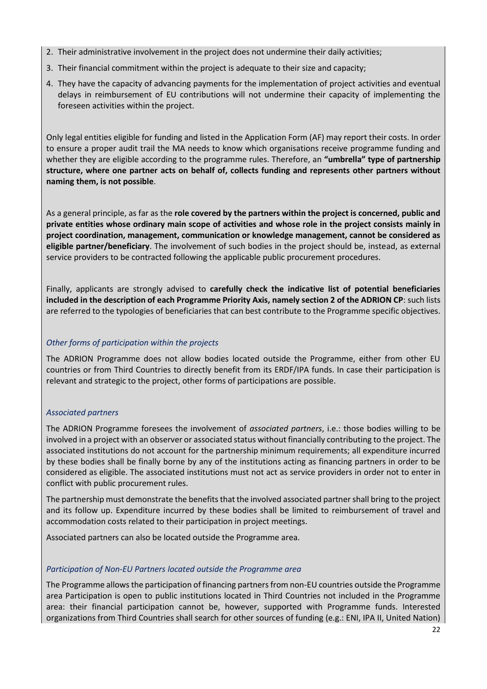- 2. Their administrative involvement in the project does not undermine their daily activities;
- 3. Their financial commitment within the project is adequate to their size and capacity;
- 4. They have the capacity of advancing payments for the implementation of project activities and eventual delays in reimbursement of EU contributions will not undermine their capacity of implementing the foreseen activities within the project.

Only legal entities eligible for funding and listed in the Application Form (AF) may report their costs. In order to ensure a proper audit trail the MA needs to know which organisations receive programme funding and whether they are eligible according to the programme rules. Therefore, an **"umbrella" type of partnership structure, where one partner acts on behalf of, collects funding and represents other partners without naming them, is not possible**.

As a general principle, as far as the **role covered by the partners within the project is concerned, public and private entities whose ordinary main scope of activities and whose role in the project consists mainly in project coordination, management, communication or knowledge management, cannot be considered as eligible partner/beneficiary**. The involvement of such bodies in the project should be, instead, as external service providers to be contracted following the applicable public procurement procedures.

Finally, applicants are strongly advised to **carefully check the indicative list of potential beneficiaries included in the description of each Programme Priority Axis, namely section 2 of the ADRION CP**: such lists are referred to the typologies of beneficiaries that can best contribute to the Programme specific objectives.

# *Other forms of participation within the projects*

The ADRION Programme does not allow bodies located outside the Programme, either from other EU countries or from Third Countries to directly benefit from its ERDF/IPA funds. In case their participation is relevant and strategic to the project, other forms of participations are possible.

# *Associated partners*

The ADRION Programme foresees the involvement of *associated partners*, i.e.: those bodies willing to be involved in a project with an observer or associated status without financially contributing to the project. The associated institutions do not account for the partnership minimum requirements; all expenditure incurred by these bodies shall be finally borne by any of the institutions acting as financing partners in order to be considered as eligible. The associated institutions must not act as service providers in order not to enter in conflict with public procurement rules.

The partnership must demonstrate the benefits that the involved associated partner shall bring to the project and its follow up. Expenditure incurred by these bodies shall be limited to reimbursement of travel and accommodation costs related to their participation in project meetings.

Associated partners can also be located outside the Programme area.

# *Participation of Non-EU Partners located outside the Programme area*

The Programme allows the participation of financing partners from non-EU countries outside the Programme area Participation is open to public institutions located in Third Countries not included in the Programme area: their financial participation cannot be, however, supported with Programme funds. Interested organizations from Third Countries shall search for other sources of funding (e.g.: ENI, IPA II, United Nation)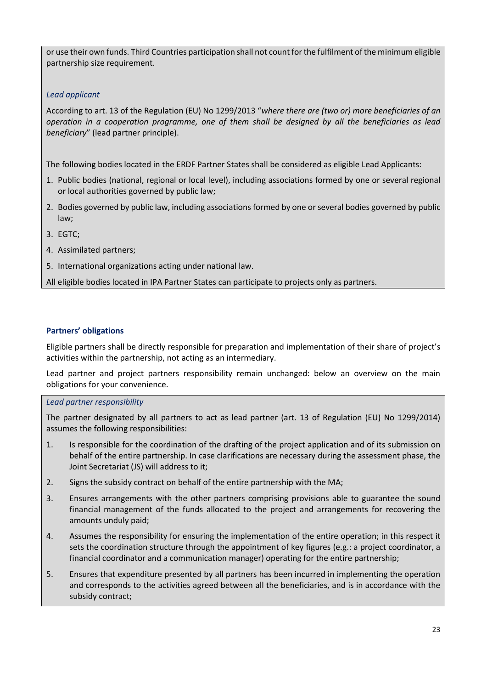or use their own funds. Third Countries participation shall not count for the fulfilment of the minimum eligible partnership size requirement.

# *Lead applicant*

According to art. 13 of the Regulation (EU) No 1299/2013 "*where there are (two or) more beneficiaries of an operation in a cooperation programme, one of them shall be designed by all the beneficiaries as lead beneficiary*" (lead partner principle).

The following bodies located in the ERDF Partner States shall be considered as eligible Lead Applicants:

- 1. Public bodies (national, regional or local level), including associations formed by one or several regional or local authorities governed by public law;
- 2. Bodies governed by public law, including associations formed by one or several bodies governed by public law;
- 3. EGTC;
- 4. Assimilated partners;
- 5. International organizations acting under national law.

All eligible bodies located in IPA Partner States can participate to projects only as partners.

# <span id="page-22-0"></span>**Partners' obligations**

Eligible partners shall be directly responsible for preparation and implementation of their share of project's activities within the partnership, not acting as an intermediary.

Lead partner and project partners responsibility remain unchanged: below an overview on the main obligations for your convenience.

# <span id="page-22-1"></span>*Lead partner responsibility*

The partner designated by all partners to act as lead partner (art. 13 of Regulation (EU) No 1299/2014) assumes the following responsibilities:

- 1. Is responsible for the coordination of the drafting of the project application and of its submission on behalf of the entire partnership. In case clarifications are necessary during the assessment phase, the Joint Secretariat (JS) will address to it;
- 2. Signs the subsidy contract on behalf of the entire partnership with the MA;
- 3. Ensures arrangements with the other partners comprising provisions able to guarantee the sound financial management of the funds allocated to the project and arrangements for recovering the amounts unduly paid;
- 4. Assumes the responsibility for ensuring the implementation of the entire operation; in this respect it sets the coordination structure through the appointment of key figures (e.g.: a project coordinator, a financial coordinator and a communication manager) operating for the entire partnership;
- 5. Ensures that expenditure presented by all partners has been incurred in implementing the operation and corresponds to the activities agreed between all the beneficiaries, and is in accordance with the subsidy contract;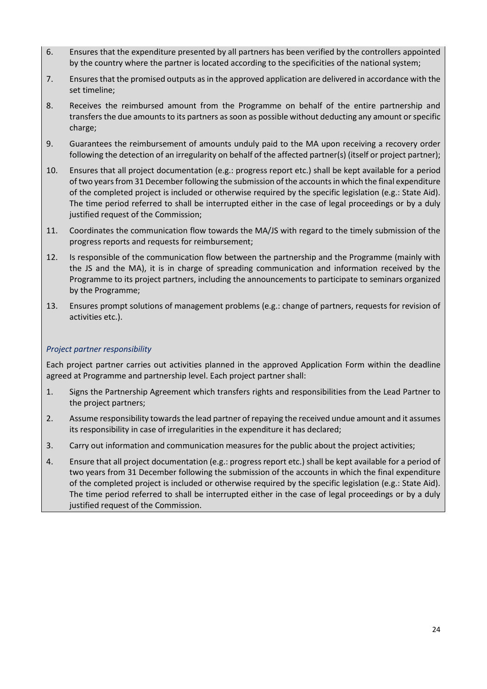- 6. Ensures that the expenditure presented by all partners has been verified by the controllers appointed by the country where the partner is located according to the specificities of the national system;
- 7. Ensures that the promised outputs as in the approved application are delivered in accordance with the set timeline;
- 8. Receives the reimbursed amount from the Programme on behalf of the entire partnership and transfers the due amounts to its partners as soon as possible without deducting any amount or specific charge;
- 9. Guarantees the reimbursement of amounts unduly paid to the MA upon receiving a recovery order following the detection of an irregularity on behalf of the affected partner(s) (itself or project partner);
- 10. Ensures that all project documentation (e.g.: progress report etc.) shall be kept available for a period of two years from 31 December following the submission of the accounts in which the final expenditure of the completed project is included or otherwise required by the specific legislation (e.g.: State Aid). The time period referred to shall be interrupted either in the case of legal proceedings or by a duly justified request of the Commission;
- 11. Coordinates the communication flow towards the MA/JS with regard to the timely submission of the progress reports and requests for reimbursement;
- 12. Is responsible of the communication flow between the partnership and the Programme (mainly with the JS and the MA), it is in charge of spreading communication and information received by the Programme to its project partners, including the announcements to participate to seminars organized by the Programme;
- 13. Ensures prompt solutions of management problems (e.g.: change of partners, requests for revision of activities etc.).

# <span id="page-23-0"></span>*Project partner responsibility*

Each project partner carries out activities planned in the approved Application Form within the deadline agreed at Programme and partnership level. Each project partner shall:

- 1. Signs the Partnership Agreement which transfers rights and responsibilities from the Lead Partner to the project partners;
- 2. Assume responsibility towards the lead partner of repaying the received undue amount and it assumes its responsibility in case of irregularities in the expenditure it has declared;
- 3. Carry out information and communication measures for the public about the project activities;
- 4. Ensure that all project documentation (e.g.: progress report etc.) shall be kept available for a period of two years from 31 December following the submission of the accounts in which the final expenditure of the completed project is included or otherwise required by the specific legislation (e.g.: State Aid). The time period referred to shall be interrupted either in the case of legal proceedings or by a duly justified request of the Commission.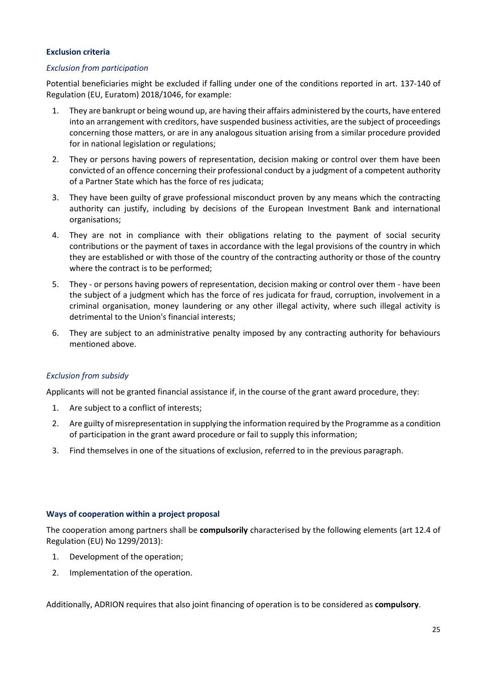# <span id="page-24-0"></span>**Exclusion criteria**

# <span id="page-24-1"></span>*Exclusion from participation*

Potential beneficiaries might be excluded if falling under one of the conditions reported in art. 137-140 of Regulation (EU, Euratom) 2018/1046, for example:

- 1. They are bankrupt or being wound up, are having their affairs administered by the courts, have entered into an arrangement with creditors, have suspended business activities, are the subject of proceedings concerning those matters, or are in any analogous situation arising from a similar procedure provided for in national legislation or regulations;
- 2. They or persons having powers of representation, decision making or control over them have been convicted of an offence concerning their professional conduct by a judgment of a competent authority of a Partner State which has the force of res judicata;
- 3. They have been guilty of grave professional misconduct proven by any means which the contracting authority can justify, including by decisions of the European Investment Bank and international organisations;
- 4. They are not in compliance with their obligations relating to the payment of social security contributions or the payment of taxes in accordance with the legal provisions of the country in which they are established or with those of the country of the contracting authority or those of the country where the contract is to be performed;
- 5. They or persons having powers of representation, decision making or control over them have been the subject of a judgment which has the force of res judicata for fraud, corruption, involvement in a criminal organisation, money laundering or any other illegal activity, where such illegal activity is detrimental to the Union's financial interests;
- 6. They are subject to an administrative penalty imposed by any contracting authority for behaviours mentioned above.

# <span id="page-24-2"></span>*Exclusion from subsidy*

Applicants will not be granted financial assistance if, in the course of the grant award procedure, they:

- 1. Are subject to a conflict of interests;
- 2. Are guilty of misrepresentation in supplying the information required by the Programme as a condition of participation in the grant award procedure or fail to supply this information;
- 3. Find themselves in one of the situations of exclusion, referred to in the previous paragraph.

# <span id="page-24-3"></span>**Ways of cooperation within a project proposal**

The cooperation among partners shall be **compulsorily** characterised by the following elements (art 12.4 of Regulation (EU) No 1299/2013):

- 1. Development of the operation;
- 2. Implementation of the operation.

Additionally, ADRION requires that also joint financing of operation is to be considered as **compulsory**.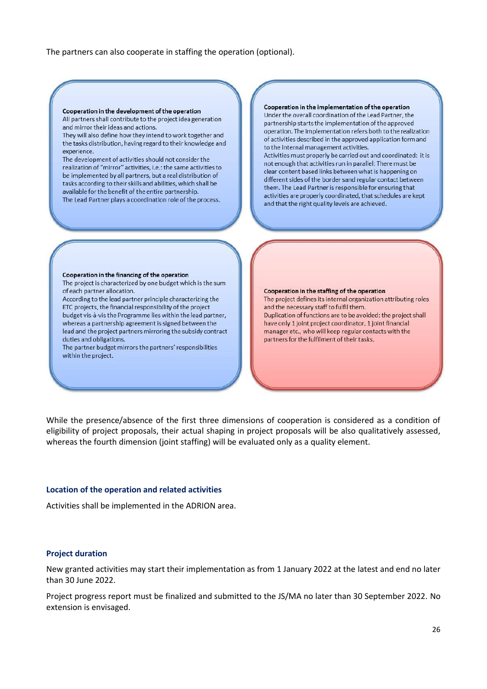The partners can also cooperate in staffing the operation (optional).

#### Cooperation in the implementation of the operation Cooperation in the development of the operation Under the overall coordination of the Lead Partner, the All partners shall contribute to the project idea generation partnership starts the implementation of the approved and mirror their ideas and actions. operation. The implementation refers both to the realization They will also define how they intend to work together and of activities described in the approved application form and the tasks distribution, having regard to their knowledge and to the internal management activities. experience. Activities must properly be carried out and coordinated: it is The development of activities should not consider the not enough that activities run in parallel: There must be realization of "mirror" activities, i.e.: the same activities to clear content based links between what is happening on be implemented by all partners, but a real distribution of different sides of the border sand regular contact between tasks according to their skills and abilities, which shall be them. The Lead Partner is responsible for ensuring that available for the benefit of the entire partnership. activities are properly coordinated, that schedules are kept The Lead Partner plays a coordination role of the process. and that the right quality levels are achieved. Cooperation in the financing of the operation The project is characterized by one budget which is the sum of each partner allocation. Cooperation in the staffing of the operation According to the lead partner principle characterizing the The project defines its internal organization attributing roles and the necessary staff to fulfil them. ETC projects, the financial responsibility of the project Duplication of functions are to be avoided: the project shall budget vis-à-vis the Programme lies within the lead partner, whereas a partnership agreement is signed between the have only 1 joint project coordinator, 1 joint financial lead and the project partners mirroring the subsidy contract manager etc., who will keep regular contacts with the duties and obligations. partners for the fulfilment of their tasks. The partner budget mirrors the partners' responsibilities within the project.

While the presence/absence of the first three dimensions of cooperation is considered as a condition of eligibility of project proposals, their actual shaping in project proposals will be also qualitatively assessed, whereas the fourth dimension (joint staffing) will be evaluated only as a quality element.

#### <span id="page-25-0"></span>**Location of the operation and related activities**

Activities shall be implemented in the ADRION area.

#### <span id="page-25-1"></span>**Project duration**

New granted activities may start their implementation as from 1 January 2022 at the latest and end no later than 30 June 2022.

Project progress report must be finalized and submitted to the JS/MA no later than 30 September 2022. No extension is envisaged.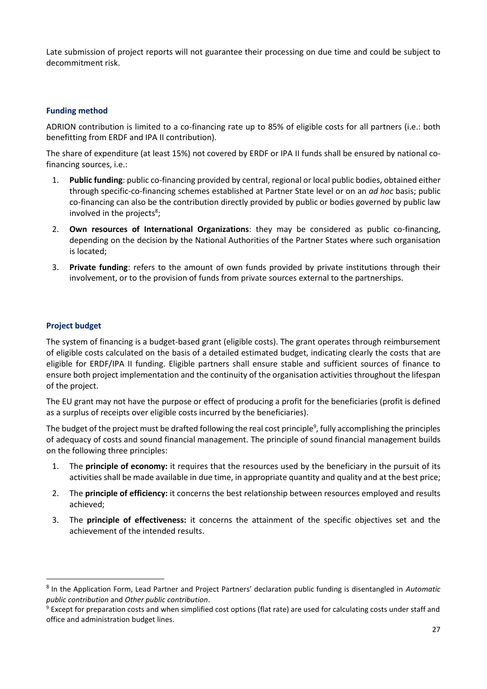Late submission of project reports will not guarantee their processing on due time and could be subject to decommitment risk.

# <span id="page-26-0"></span>**Funding method**

ADRION contribution is limited to a co-financing rate up to 85% of eligible costs for all partners (i.e.: both benefitting from ERDF and IPA II contribution).

The share of expenditure (at least 15%) not covered by ERDF or IPA II funds shall be ensured by national cofinancing sources, i.e.:

- 1. **Public funding**: public co-financing provided by central, regional or local public bodies, obtained either through specific-co-financing schemes established at Partner State level or on an *ad hoc* basis; public co-financing can also be the contribution directly provided by public or bodies governed by public law involved in the projects<sup>8</sup>;
- 2. **Own resources of International Organizations**: they may be considered as public co-financing, depending on the decision by the National Authorities of the Partner States where such organisation is located;
- 3. **Private funding**: refers to the amount of own funds provided by private institutions through their involvement, or to the provision of funds from private sources external to the partnerships.

# <span id="page-26-1"></span>**Project budget**

The system of financing is a budget-based grant (eligible costs). The grant operates through reimbursement of eligible costs calculated on the basis of a detailed estimated budget, indicating clearly the costs that are eligible for ERDF/IPA II funding. Eligible partners shall ensure stable and sufficient sources of finance to ensure both project implementation and the continuity of the organisation activities throughout the lifespan of the project.

The EU grant may not have the purpose or effect of producing a profit for the beneficiaries (profit is defined as a surplus of receipts over eligible costs incurred by the beneficiaries).

The budget of the project must be drafted following the real cost principle<sup>9</sup>, fully accomplishing the principles of adequacy of costs and sound financial management. The principle of sound financial management builds on the following three principles:

- 1. The **principle of economy:** it requires that the resources used by the beneficiary in the pursuit of its activities shall be made available in due time, in appropriate quantity and quality and at the best price;
- 2. The **principle of efficiency:** it concerns the best relationship between resources employed and results achieved;
- 3. The **principle of effectiveness:** it concerns the attainment of the specific objectives set and the achievement of the intended results.

<sup>8</sup> In the Application Form, Lead Partner and Project Partners' declaration public funding is disentangled in *Automatic public contribution* and *Other public contribution*.

<sup>&</sup>lt;sup>9</sup> Except for preparation costs and when simplified cost options (flat rate) are used for calculating costs under staff and office and administration budget lines.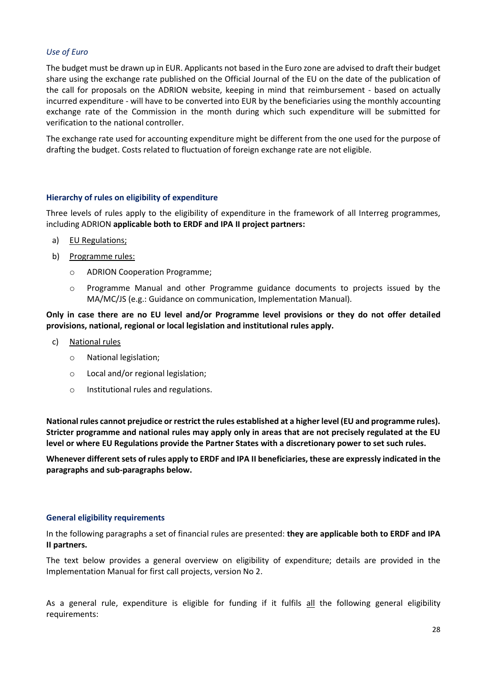# <span id="page-27-0"></span>*Use of Euro*

The budget must be drawn up in EUR. Applicants not based in the Euro zone are advised to draft their budget share using the exchange rate published on the Official Journal of the EU on the date of the publication of the call for proposals on the ADRION website, keeping in mind that reimbursement - based on actually incurred expenditure - will have to be converted into EUR by the beneficiaries using the monthly accounting exchange rate of the Commission in the month during which such expenditure will be submitted for verification to the national controller.

The exchange rate used for accounting expenditure might be different from the one used for the purpose of drafting the budget. Costs related to fluctuation of foreign exchange rate are not eligible.

# <span id="page-27-1"></span>**Hierarchy of rules on eligibility of expenditure**

Three levels of rules apply to the eligibility of expenditure in the framework of all Interreg programmes, including ADRION **applicable both to ERDF and IPA II project partners:**

- a) EU Regulations;
- b) Programme rules:
	- o ADRION Cooperation Programme;
	- o Programme Manual and other Programme guidance documents to projects issued by the MA/MC/JS (e.g.: Guidance on communication, Implementation Manual).

**Only in case there are no EU level and/or Programme level provisions or they do not offer detailed provisions, national, regional or local legislation and institutional rules apply.**

- c) National rules
	- o National legislation;
	- o Local and/or regional legislation;
	- o Institutional rules and regulations.

**National rules cannot prejudice or restrict the rules established at a higher level (EU and programme rules). Stricter programme and national rules may apply only in areas that are not precisely regulated at the EU level or where EU Regulations provide the Partner States with a discretionary power to set such rules.** 

**Whenever different sets of rules apply to ERDF and IPA II beneficiaries, these are expressly indicated in the paragraphs and sub-paragraphs below.**

# <span id="page-27-2"></span>**General eligibility requirements**

In the following paragraphs a set of financial rules are presented: **they are applicable both to ERDF and IPA II partners.**

The text below provides a general overview on eligibility of expenditure; details are provided in the Implementation Manual for first call projects, version No 2.

As a general rule, expenditure is eligible for funding if it fulfils all the following general eligibility requirements: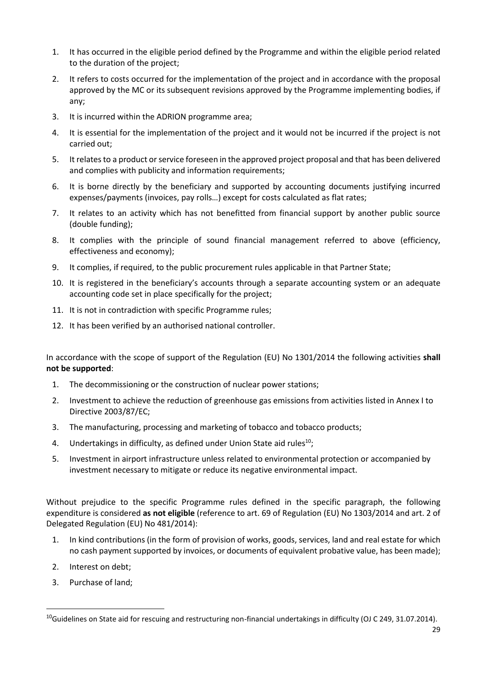- 1. It has occurred in the eligible period defined by the Programme and within the eligible period related to the duration of the project;
- 2. It refers to costs occurred for the implementation of the project and in accordance with the proposal approved by the MC or its subsequent revisions approved by the Programme implementing bodies, if any;
- 3. It is incurred within the ADRION programme area;
- 4. It is essential for the implementation of the project and it would not be incurred if the project is not carried out;
- 5. It relates to a product or service foreseen in the approved project proposal and that has been delivered and complies with publicity and information requirements;
- 6. It is borne directly by the beneficiary and supported by accounting documents justifying incurred expenses/payments (invoices, pay rolls…) except for costs calculated as flat rates;
- 7. It relates to an activity which has not benefitted from financial support by another public source (double funding);
- 8. It complies with the principle of sound financial management referred to above (efficiency, effectiveness and economy);
- 9. It complies, if required, to the public procurement rules applicable in that Partner State;
- 10. It is registered in the beneficiary's accounts through a separate accounting system or an adequate accounting code set in place specifically for the project;
- 11. It is not in contradiction with specific Programme rules;
- 12. It has been verified by an authorised national controller.

In accordance with the scope of support of the Regulation (EU) No 1301/2014 the following activities **shall not be supported**:

- 1. The decommissioning or the construction of nuclear power stations;
- 2. Investment to achieve the reduction of greenhouse gas emissions from activities listed in Annex I to Directive 2003/87/EC;
- 3. The manufacturing, processing and marketing of tobacco and tobacco products;
- 4. Undertakings in difficulty, as defined under Union State aid rules $^{10}$ ;
- 5. Investment in airport infrastructure unless related to environmental protection or accompanied by investment necessary to mitigate or reduce its negative environmental impact.

Without prejudice to the specific Programme rules defined in the specific paragraph, the following expenditure is considered **as not eligible** (reference to art. 69 of Regulation (EU) No 1303/2014 and art. 2 of Delegated Regulation (EU) No 481/2014):

- 1. In kind contributions (in the form of provision of works, goods, services, land and real estate for which no cash payment supported by invoices, or documents of equivalent probative value, has been made);
- 2. Interest on debt;
- 3. Purchase of land;

 $10$ Guidelines on State aid for rescuing and restructuring non-financial undertakings in difficulty (OJ C 249, 31.07.2014).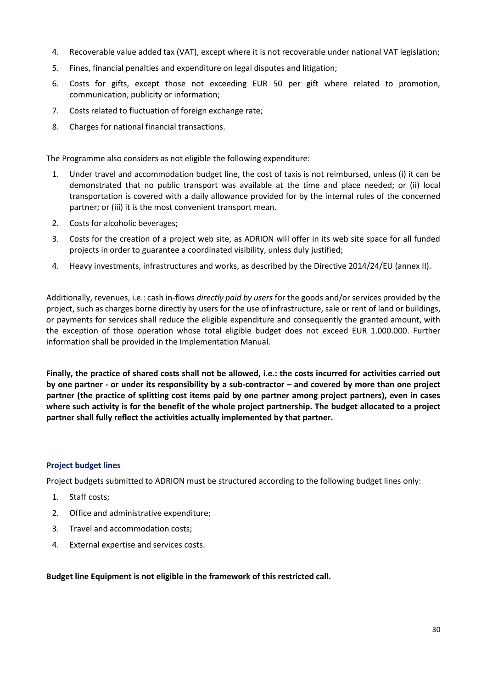- 4. Recoverable value added tax (VAT), except where it is not recoverable under national VAT legislation;
- 5. Fines, financial penalties and expenditure on legal disputes and litigation;
- 6. Costs for gifts, except those not exceeding EUR 50 per gift where related to promotion, communication, publicity or information;
- 7. Costs related to fluctuation of foreign exchange rate;
- 8. Charges for national financial transactions.

The Programme also considers as not eligible the following expenditure:

- 1. Under travel and accommodation budget line, the cost of taxis is not reimbursed, unless (i) it can be demonstrated that no public transport was available at the time and place needed; or (ii) local transportation is covered with a daily allowance provided for by the internal rules of the concerned partner; or (iii) it is the most convenient transport mean.
- 2. Costs for alcoholic beverages;
- 3. Costs for the creation of a project web site, as ADRION will offer in its web site space for all funded projects in order to guarantee a coordinated visibility, unless duly justified;
- 4. Heavy investments, infrastructures and works, as described by the Directive 2014/24/EU (annex II).

Additionally, revenues, i.e.: cash in-flows *directly paid by users* for the goods and/or services provided by the project, such as charges borne directly by users for the use of infrastructure, sale or rent of land or buildings, or payments for services shall reduce the eligible expenditure and consequently the granted amount, with the exception of those operation whose total eligible budget does not exceed EUR 1.000.000. Further information shall be provided in the Implementation Manual.

**Finally, the practice of shared costs shall not be allowed, i.e.: the costs incurred for activities carried out by one partner - or under its responsibility by a sub-contractor – and covered by more than one project partner (the practice of splitting cost items paid by one partner among project partners), even in cases where such activity is for the benefit of the whole project partnership. The budget allocated to a project partner shall fully reflect the activities actually implemented by that partner.**

# <span id="page-29-0"></span>**Project budget lines**

Project budgets submitted to ADRION must be structured according to the following budget lines only:

- 1. Staff costs;
- 2. Office and administrative expenditure;
- 3. Travel and accommodation costs;
- 4. External expertise and services costs.

**Budget line Equipment is not eligible in the framework of this restricted call.**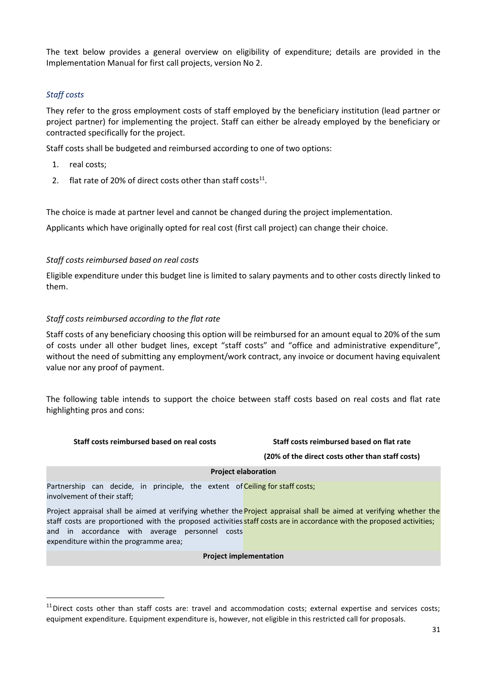The text below provides a general overview on eligibility of expenditure; details are provided in the Implementation Manual for first call projects, version No 2.

# <span id="page-30-0"></span>*Staff costs*

They refer to the gross employment costs of staff employed by the beneficiary institution (lead partner or project partner) for implementing the project. Staff can either be already employed by the beneficiary or contracted specifically for the project.

Staff costs shall be budgeted and reimbursed according to one of two options:

- 1. real costs;
- 2. flat rate of 20% of direct costs other than staff costs $^{11}$ .

The choice is made at partner level and cannot be changed during the project implementation.

Applicants which have originally opted for real cost (first call project) can change their choice.

# *Staff costs reimbursed based on real costs*

Eligible expenditure under this budget line is limited to salary payments and to other costs directly linked to them.

# *Staff costs reimbursed according to the flat rate*

Staff costs of any beneficiary choosing this option will be reimbursed for an amount equal to 20% of the sum of costs under all other budget lines, except "staff costs" and "office and administrative expenditure", without the need of submitting any employment/work contract, any invoice or document having equivalent value nor any proof of payment.

The following table intends to support the choice between staff costs based on real costs and flat rate highlighting pros and cons:

#### **Staff costs reimbursed based on real costs Staff costs reimbursed based on flat rate**

**(20% of the direct costs other than staff costs)**

#### **Project elaboration**

Partnership can decide, in principle, the extent of Ceiling for staff costs; involvement of their staff;

Project appraisal shall be aimed at verifying whether the **Project appraisal shall be aimed at verifying whether the** staff costs are proportioned with the proposed activities staff costs are in accordance with the proposed activities; and in accordance with average personnel costs expenditure within the programme area;

**Project implementation**

 $11$  Direct costs other than staff costs are: travel and accommodation costs; external expertise and services costs; equipment expenditure. Equipment expenditure is, however, not eligible in this restricted call for proposals.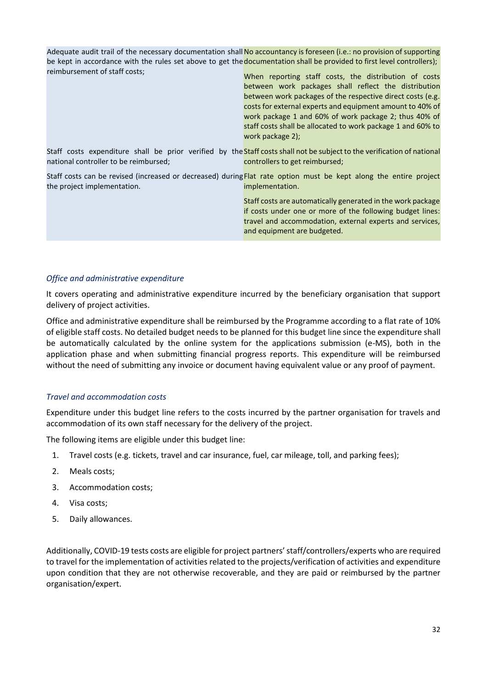Adequate audit trail of the necessary documentation shall **No accountancy is foreseen (i.e.: no provision of supporting** be kept in accordance with the rules set above to get the **documentation shall be provided to first level controllers)**; reimbursement of staff costs;

When reporting staff costs, the distribution of costs between work packages shall reflect the distribution between work packages of the respective direct costs (e.g. costs for external experts and equipment amount to 40% of work package 1 and 60% of work package 2; thus 40% of staff costs shall be allocated to work package 1 and 60% to work package 2);

Staff costs expenditure shall be prior verified by the Staff costs shall not be subject to the verification of national national controller to be reimbursed; controllers to get reimbursed;

Staff costs can be revised (increased or decreased) during Flat rate option must be kept along the entire project the project implementation. implementation.

> Staff costs are automatically generated in the work package if costs under one or more of the following budget lines: travel and accommodation, external experts and services, and equipment are budgeted.

#### <span id="page-31-0"></span>*Office and administrative expenditure*

It covers operating and administrative expenditure incurred by the beneficiary organisation that support delivery of project activities.

Office and administrative expenditure shall be reimbursed by the Programme according to a flat rate of 10% of eligible staff costs. No detailed budget needs to be planned for this budget line since the expenditure shall be automatically calculated by the online system for the applications submission (e-MS), both in the application phase and when submitting financial progress reports. This expenditure will be reimbursed without the need of submitting any invoice or document having equivalent value or any proof of payment.

# <span id="page-31-1"></span>*Travel and accommodation costs*

Expenditure under this budget line refers to the costs incurred by the partner organisation for travels and accommodation of its own staff necessary for the delivery of the project.

The following items are eligible under this budget line:

- 1. Travel costs (e.g. tickets, travel and car insurance, fuel, car mileage, toll, and parking fees);
- 2. Meals costs;
- 3. Accommodation costs;
- 4. Visa costs;
- 5. Daily allowances.

Additionally, COVID-19 tests costs are eligible for project partners' staff/controllers/experts who are required to travel for the implementation of activities related to the projects/verification of activities and expenditure upon condition that they are not otherwise recoverable, and they are paid or reimbursed by the partner organisation/expert.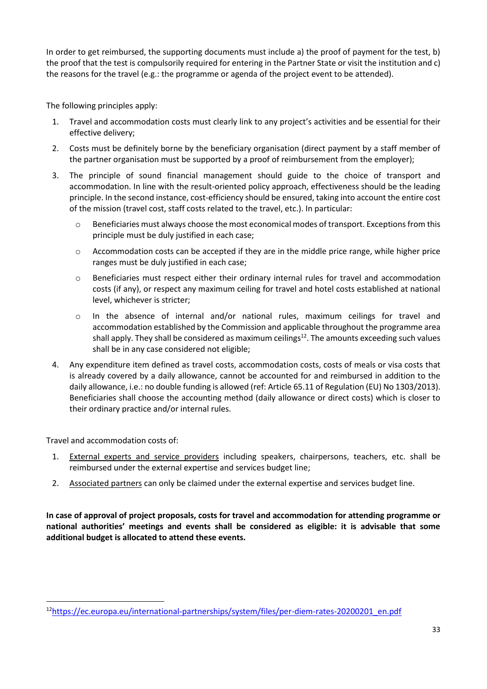In order to get reimbursed, the supporting documents must include a) the proof of payment for the test, b) the proof that the test is compulsorily required for entering in the Partner State or visit the institution and c) the reasons for the travel (e.g.: the programme or agenda of the project event to be attended).

The following principles apply:

- 1. Travel and accommodation costs must clearly link to any project's activities and be essential for their effective delivery;
- 2. Costs must be definitely borne by the beneficiary organisation (direct payment by a staff member of the partner organisation must be supported by a proof of reimbursement from the employer);
- 3. The principle of sound financial management should guide to the choice of transport and accommodation. In line with the result-oriented policy approach, effectiveness should be the leading principle. In the second instance, cost-efficiency should be ensured, taking into account the entire cost of the mission (travel cost, staff costs related to the travel, etc.). In particular:
	- o Beneficiaries must always choose the most economical modes of transport. Exceptions from this principle must be duly justified in each case;
	- $\circ$  Accommodation costs can be accepted if they are in the middle price range, while higher price ranges must be duly justified in each case;
	- o Beneficiaries must respect either their ordinary internal rules for travel and accommodation costs (if any), or respect any maximum ceiling for travel and hotel costs established at national level, whichever is stricter;
	- o In the absence of internal and/or national rules, maximum ceilings for travel and accommodation established by the Commission and applicable throughout the programme area shall apply. They shall be considered as maximum ceilings<sup>12</sup>. The amounts exceeding such values shall be in any case considered not eligible;
- 4. Any expenditure item defined as travel costs, accommodation costs, costs of meals or visa costs that is already covered by a daily allowance, cannot be accounted for and reimbursed in addition to the daily allowance, i.e.: no double funding is allowed (ref: Article 65.11 of Regulation (EU) No 1303/2013). Beneficiaries shall choose the accounting method (daily allowance or direct costs) which is closer to their ordinary practice and/or internal rules.

Travel and accommodation costs of:

- 1. External experts and service providers including speakers, chairpersons, teachers, etc. shall be reimbursed under the external expertise and services budget line;
- 2. Associated partners can only be claimed under the external expertise and services budget line.

**In case of approval of project proposals, costs for travel and accommodation for attending programme or national authorities' meetings and events shall be considered as eligible: it is advisable that some additional budget is allocated to attend these events.**

<sup>12</sup>[https://ec.europa.eu/international-partnerships/system/files/per-diem-rates-20200201\\_en.pdf](https://ec.europa.eu/international-partnerships/system/files/per-diem-rates-20200201_en.pdf)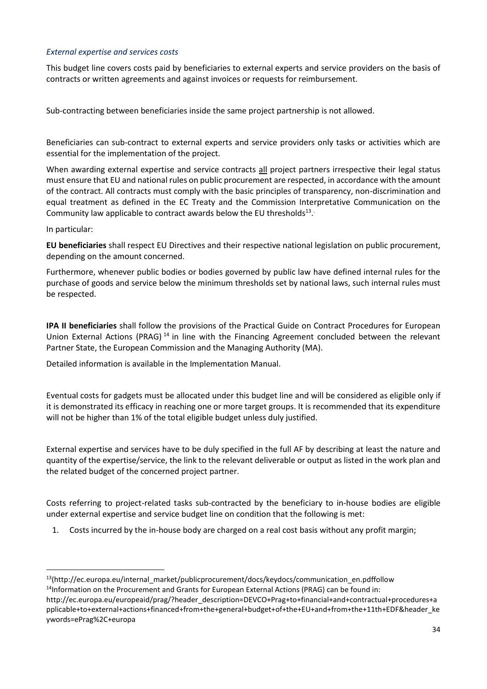# <span id="page-33-0"></span>*External expertise and services costs*

This budget line covers costs paid by beneficiaries to external experts and service providers on the basis of contracts or written agreements and against invoices or requests for reimbursement.

Sub-contracting between beneficiaries inside the same project partnership is not allowed.

Beneficiaries can sub-contract to external experts and service providers only tasks or activities which are essential for the implementation of the project.

When awarding external expertise and service contracts all project partners irrespective their legal status must ensure that EU and national rules on public procurement are respected, in accordance with the amount of the contract. All contracts must comply with the basic principles of transparency, non-discrimination and equal treatment as defined in the EC Treaty and the Commission Interpretative Communication on the Community law applicable to contract awards below the EU thresholds $^{13}$ .

In particular:

**EU beneficiaries** shall respect EU Directives and their respective national legislation on public procurement, depending on the amount concerned.

Furthermore, whenever public bodies or bodies governed by public law have defined internal rules for the purchase of goods and service below the minimum thresholds set by national laws, such internal rules must be respected.

**IPA II beneficiaries** shall follow the provisions of the Practical Guide on Contract Procedures for European Union External Actions (PRAG)<sup>14</sup> in line with the Financing Agreement concluded between the relevant Partner State, the European Commission and the Managing Authority (MA).

Detailed information is available in the Implementation Manual.

Eventual costs for gadgets must be allocated under this budget line and will be considered as eligible only if it is demonstrated its efficacy in reaching one or more target groups. It is recommended that its expenditure will not be higher than 1% of the total eligible budget unless duly justified.

External expertise and services have to be duly specified in the full AF by describing at least the nature and quantity of the expertise/service, the link to the relevant deliverable or output as listed in the work plan and the related budget of the concerned project partner.

Costs referring to project-related tasks sub-contracted by the beneficiary to in-house bodies are eligible under external expertise and service budget line on condition that the following is met:

1. Costs incurred by the in-house body are charged on a real cost basis without any profit margin;

<sup>13</sup>(http://ec.europa.eu/internal\_market/publicprocurement/docs/keydocs/communication\_en.pdffollow <sup>14</sup>Information on the Procurement and Grants for European External Actions (PRAG) can be found in:

http://ec.europa.eu/europeaid/prag/?header\_description=DEVCO+Prag+to+financial+and+contractual+procedures+a pplicable+to+external+actions+financed+from+the+general+budget+of+the+EU+and+from+the+11th+EDF&header\_ke ywords=ePrag%2C+europa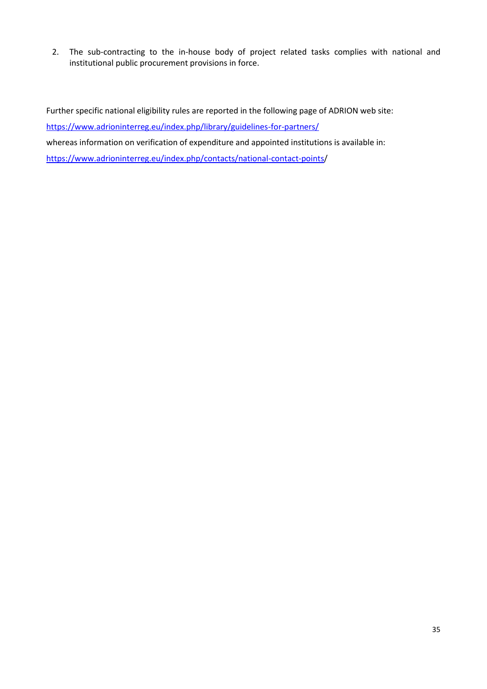2. The sub-contracting to the in-house body of project related tasks complies with national and institutional public procurement provisions in force.

Further specific national eligibility rules are reported in the following page of ADRION web site: <https://www.adrioninterreg.eu/index.php/library/guidelines-for-partners/> whereas information on verification of expenditure and appointed institutions is available in: [https://www.adrioninterreg.eu/index.php/contacts/national-contact-points/](https://www.adrioninterreg.eu/index.php/contacts/national-contact-points)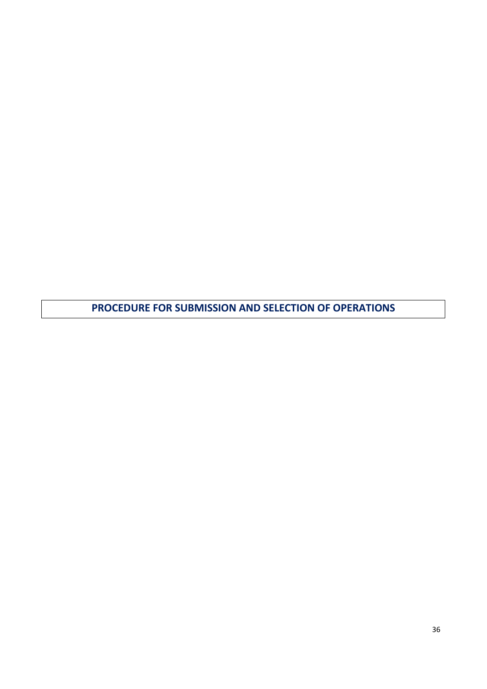<span id="page-35-0"></span>**PROCEDURE FOR SUBMISSION AND SELECTION OF OPERATIONS**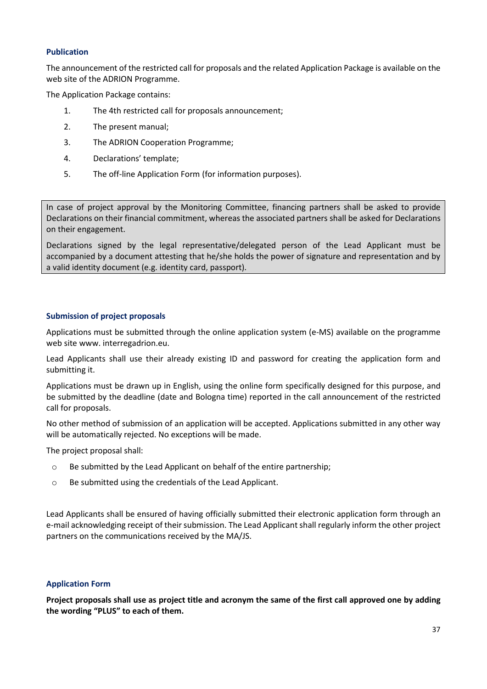#### <span id="page-36-0"></span>**Publication**

The announcement of the restricted call for proposals and the related Application Package is available on the web site of the ADRION Programme.

The Application Package contains:

- 1. The 4th restricted call for proposals announcement;
- 2. The present manual;
- 3. The ADRION Cooperation Programme;
- 4. Declarations' template;
- 5. The off-line Application Form (for information purposes).

In case of project approval by the Monitoring Committee, financing partners shall be asked to provide Declarations on their financial commitment, whereas the associated partners shall be asked for Declarations on their engagement.

Declarations signed by the legal representative/delegated person of the Lead Applicant must be accompanied by a document attesting that he/she holds the power of signature and representation and by a valid identity document (e.g. identity card, passport).

# <span id="page-36-1"></span>**Submission of project proposals**

Applications must be submitted through the online application system (e-MS) available on the programme web site www. interregadrion.eu.

Lead Applicants shall use their already existing ID and password for creating the application form and submitting it.

Applications must be drawn up in English, using the online form specifically designed for this purpose, and be submitted by the deadline (date and Bologna time) reported in the call announcement of the restricted call for proposals.

No other method of submission of an application will be accepted. Applications submitted in any other way will be automatically rejected. No exceptions will be made.

The project proposal shall:

- o Be submitted by the Lead Applicant on behalf of the entire partnership;
- o Be submitted using the credentials of the Lead Applicant.

Lead Applicants shall be ensured of having officially submitted their electronic application form through an e-mail acknowledging receipt of their submission. The Lead Applicant shall regularly inform the other project partners on the communications received by the MA/JS.

# <span id="page-36-2"></span>**Application Form**

**Project proposals shall use as project title and acronym the same of the first call approved one by adding the wording "PLUS" to each of them.**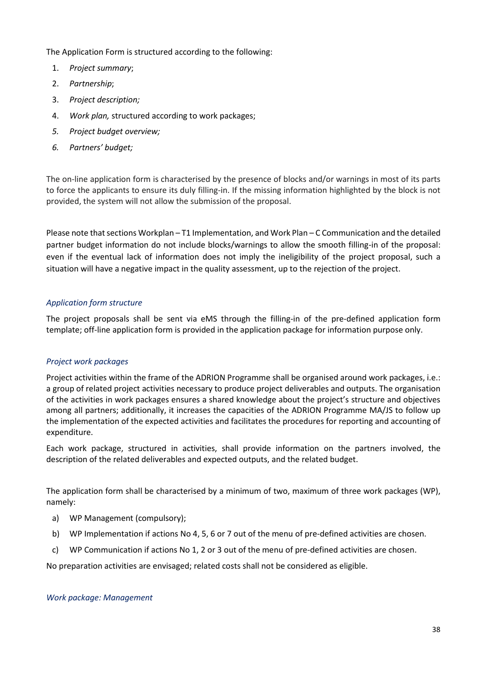The Application Form is structured according to the following:

- 1. *Project summary*;
- 2. *Partnership*;
- 3. *Project description;*
- 4. *Work plan,* structured according to work packages;
- *5. Project budget overview;*
- *6. Partners' budget;*

The on-line application form is characterised by the presence of blocks and/or warnings in most of its parts to force the applicants to ensure its duly filling-in. If the missing information highlighted by the block is not provided, the system will not allow the submission of the proposal.

Please note that sections Workplan – T1 Implementation, and Work Plan – C Communication and the detailed partner budget information do not include blocks/warnings to allow the smooth filling-in of the proposal: even if the eventual lack of information does not imply the ineligibility of the project proposal, such a situation will have a negative impact in the quality assessment, up to the rejection of the project.

# <span id="page-37-0"></span>*Application form structure*

The project proposals shall be sent via eMS through the filling-in of the pre-defined application form template; off-line application form is provided in the application package for information purpose only.

# *Project work packages*

Project activities within the frame of the ADRION Programme shall be organised around work packages, i.e.: a group of related project activities necessary to produce project deliverables and outputs. The organisation of the activities in work packages ensures a shared knowledge about the project's structure and objectives among all partners; additionally, it increases the capacities of the ADRION Programme MA/JS to follow up the implementation of the expected activities and facilitates the procedures for reporting and accounting of expenditure.

Each work package, structured in activities, shall provide information on the partners involved, the description of the related deliverables and expected outputs, and the related budget.

The application form shall be characterised by a minimum of two, maximum of three work packages (WP), namely:

- a) WP Management (compulsory);
- b) WP Implementation if actions No 4, 5, 6 or 7 out of the menu of pre-defined activities are chosen.
- c) WP Communication if actions No 1, 2 or 3 out of the menu of pre-defined activities are chosen.

No preparation activities are envisaged; related costs shall not be considered as eligible.

# *Work package: Management*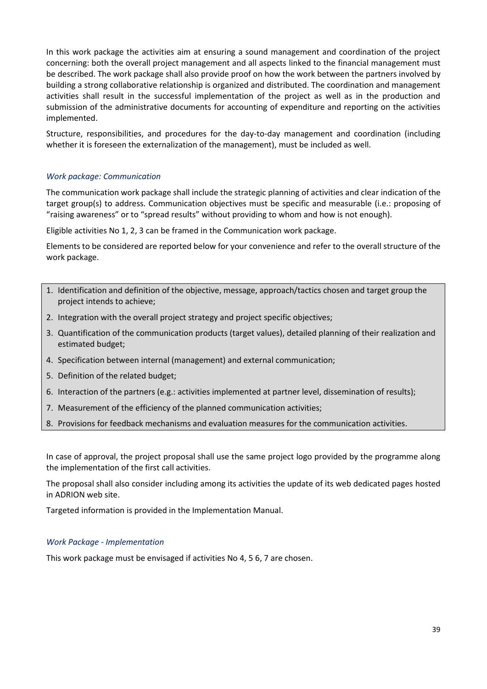In this work package the activities aim at ensuring a sound management and coordination of the project concerning: both the overall project management and all aspects linked to the financial management must be described. The work package shall also provide proof on how the work between the partners involved by building a strong collaborative relationship is organized and distributed. The coordination and management activities shall result in the successful implementation of the project as well as in the production and submission of the administrative documents for accounting of expenditure and reporting on the activities implemented.

Structure, responsibilities, and procedures for the day-to-day management and coordination (including whether it is foreseen the externalization of the management), must be included as well.

# *Work package: Communication*

The communication work package shall include the strategic planning of activities and clear indication of the target group(s) to address. Communication objectives must be specific and measurable (i.e.: proposing of "raising awareness" or to "spread results" without providing to whom and how is not enough).

Eligible activities No 1, 2, 3 can be framed in the Communication work package.

Elements to be considered are reported below for your convenience and refer to the overall structure of the work package.

- 1. Identification and definition of the objective, message, approach/tactics chosen and target group the project intends to achieve;
- 2. Integration with the overall project strategy and project specific objectives;
- 3. Quantification of the communication products (target values), detailed planning of their realization and estimated budget;
- 4. Specification between internal (management) and external communication;
- 5. Definition of the related budget;
- 6. Interaction of the partners (e.g.: activities implemented at partner level, dissemination of results);
- 7. Measurement of the efficiency of the planned communication activities;
- 8. Provisions for feedback mechanisms and evaluation measures for the communication activities.

In case of approval, the project proposal shall use the same project logo provided by the programme along the implementation of the first call activities.

The proposal shall also consider including among its activities the update of its web dedicated pages hosted in ADRION web site.

Targeted information is provided in the Implementation Manual.

#### *Work Package - Implementation*

This work package must be envisaged if activities No 4, 5 6, 7 are chosen.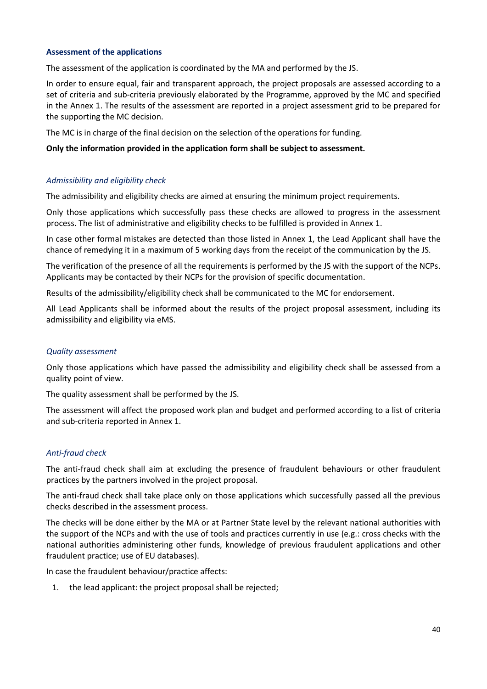# <span id="page-39-0"></span>**Assessment of the applications**

The assessment of the application is coordinated by the MA and performed by the JS.

In order to ensure equal, fair and transparent approach, the project proposals are assessed according to a set of criteria and sub-criteria previously elaborated by the Programme, approved by the MC and specified in the Annex 1. The results of the assessment are reported in a project assessment grid to be prepared for the supporting the MC decision.

The MC is in charge of the final decision on the selection of the operations for funding.

#### **Only the information provided in the application form shall be subject to assessment.**

# <span id="page-39-1"></span>*Admissibility and eligibility check*

The admissibility and eligibility checks are aimed at ensuring the minimum project requirements.

Only those applications which successfully pass these checks are allowed to progress in the assessment process. The list of administrative and eligibility checks to be fulfilled is provided in Annex 1.

In case other formal mistakes are detected than those listed in Annex 1, the Lead Applicant shall have the chance of remedying it in a maximum of 5 working days from the receipt of the communication by the JS.

The verification of the presence of all the requirements is performed by the JS with the support of the NCPs. Applicants may be contacted by their NCPs for the provision of specific documentation.

Results of the admissibility/eligibility check shall be communicated to the MC for endorsement.

All Lead Applicants shall be informed about the results of the project proposal assessment, including its admissibility and eligibility via eMS.

# <span id="page-39-2"></span>*Quality assessment*

Only those applications which have passed the admissibility and eligibility check shall be assessed from a quality point of view.

The quality assessment shall be performed by the JS.

The assessment will affect the proposed work plan and budget and performed according to a list of criteria and sub-criteria reported in Annex 1.

# <span id="page-39-3"></span>*Anti-fraud check*

The anti-fraud check shall aim at excluding the presence of fraudulent behaviours or other fraudulent practices by the partners involved in the project proposal.

The anti-fraud check shall take place only on those applications which successfully passed all the previous checks described in the assessment process.

The checks will be done either by the MA or at Partner State level by the relevant national authorities with the support of the NCPs and with the use of tools and practices currently in use (e.g.: cross checks with the national authorities administering other funds, knowledge of previous fraudulent applications and other fraudulent practice; use of EU databases).

In case the fraudulent behaviour/practice affects:

1. the lead applicant: the project proposal shall be rejected;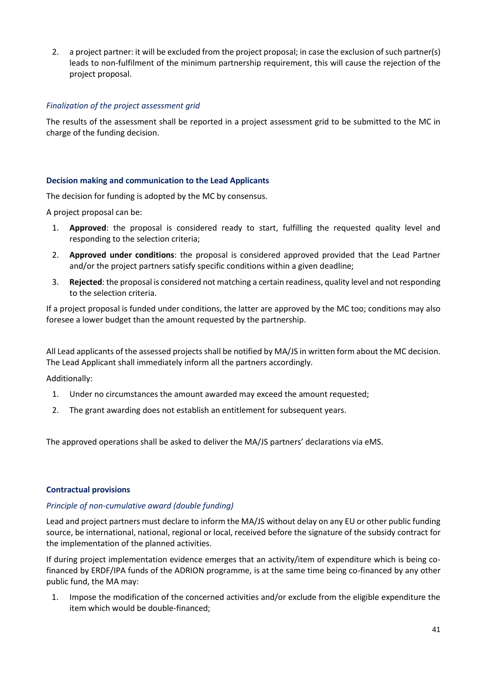2. a project partner: it will be excluded from the project proposal; in case the exclusion of such partner(s) leads to non-fulfilment of the minimum partnership requirement, this will cause the rejection of the project proposal.

# <span id="page-40-0"></span>*Finalization of the project assessment grid*

The results of the assessment shall be reported in a project assessment grid to be submitted to the MC in charge of the funding decision.

# <span id="page-40-1"></span>**Decision making and communication to the Lead Applicants**

The decision for funding is adopted by the MC by consensus.

A project proposal can be:

- 1. **Approved**: the proposal is considered ready to start, fulfilling the requested quality level and responding to the selection criteria;
- 2. **Approved under conditions**: the proposal is considered approved provided that the Lead Partner and/or the project partners satisfy specific conditions within a given deadline;
- 3. **Rejected**: the proposal is considered not matching a certain readiness, quality level and not responding to the selection criteria.

If a project proposal is funded under conditions, the latter are approved by the MC too; conditions may also foresee a lower budget than the amount requested by the partnership.

All Lead applicants of the assessed projects shall be notified by MA/JS in written form about the MC decision. The Lead Applicant shall immediately inform all the partners accordingly.

Additionally:

- 1. Under no circumstances the amount awarded may exceed the amount requested;
- 2. The grant awarding does not establish an entitlement for subsequent years.

The approved operations shall be asked to deliver the MA/JS partners' declarations via eMS.

# <span id="page-40-2"></span>**Contractual provisions**

# <span id="page-40-3"></span>*Principle of non-cumulative award (double funding)*

Lead and project partners must declare to inform the MA/JS without delay on any EU or other public funding source, be international, national, regional or local, received before the signature of the subsidy contract for the implementation of the planned activities.

If during project implementation evidence emerges that an activity/item of expenditure which is being cofinanced by ERDF/IPA funds of the ADRION programme, is at the same time being co-financed by any other public fund, the MA may:

1. Impose the modification of the concerned activities and/or exclude from the eligible expenditure the item which would be double-financed;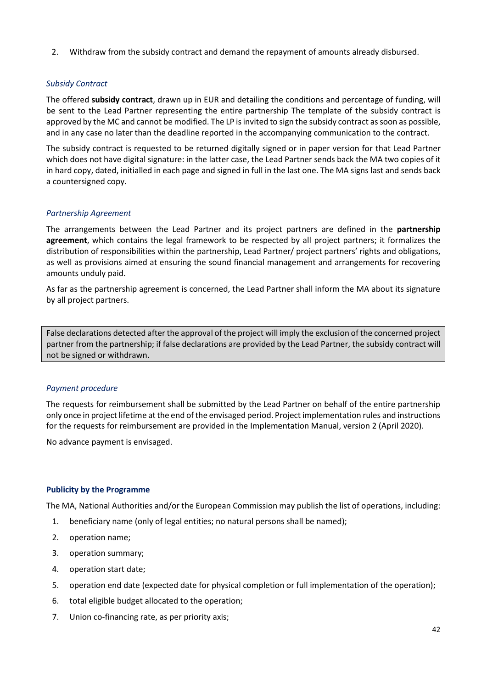2. Withdraw from the subsidy contract and demand the repayment of amounts already disbursed.

# <span id="page-41-0"></span>*Subsidy Contract*

The offered **subsidy contract**, drawn up in EUR and detailing the conditions and percentage of funding, will be sent to the Lead Partner representing the entire partnership The template of the subsidy contract is approved by the MC and cannot be modified. The LP is invited to sign the subsidy contract as soon as possible, and in any case no later than the deadline reported in the accompanying communication to the contract.

The subsidy contract is requested to be returned digitally signed or in paper version for that Lead Partner which does not have digital signature: in the latter case, the Lead Partner sends back the MA two copies of it in hard copy, dated, initialled in each page and signed in full in the last one. The MA signs last and sends back a countersigned copy.

# <span id="page-41-1"></span>*Partnership Agreement*

The arrangements between the Lead Partner and its project partners are defined in the **partnership agreement**, which contains the legal framework to be respected by all project partners; it formalizes the distribution of responsibilities within the partnership, Lead Partner/ project partners' rights and obligations, as well as provisions aimed at ensuring the sound financial management and arrangements for recovering amounts unduly paid.

As far as the partnership agreement is concerned, the Lead Partner shall inform the MA about its signature by all project partners.

False declarations detected after the approval of the project will imply the exclusion of the concerned project partner from the partnership; if false declarations are provided by the Lead Partner, the subsidy contract will not be signed or withdrawn.

# <span id="page-41-2"></span>*Payment procedure*

The requests for reimbursement shall be submitted by the Lead Partner on behalf of the entire partnership only once in project lifetime at the end of the envisaged period. Project implementation rules and instructions for the requests for reimbursement are provided in the Implementation Manual, version 2 (April 2020).

No advance payment is envisaged.

# <span id="page-41-3"></span>**Publicity by the Programme**

The MA, National Authorities and/or the European Commission may publish the list of operations, including:

- 1. beneficiary name (only of legal entities; no natural persons shall be named);
- 2. operation name;
- 3. operation summary;
- 4. operation start date;
- 5. operation end date (expected date for physical completion or full implementation of the operation);
- 6. total eligible budget allocated to the operation;
- 7. Union co-financing rate, as per priority axis;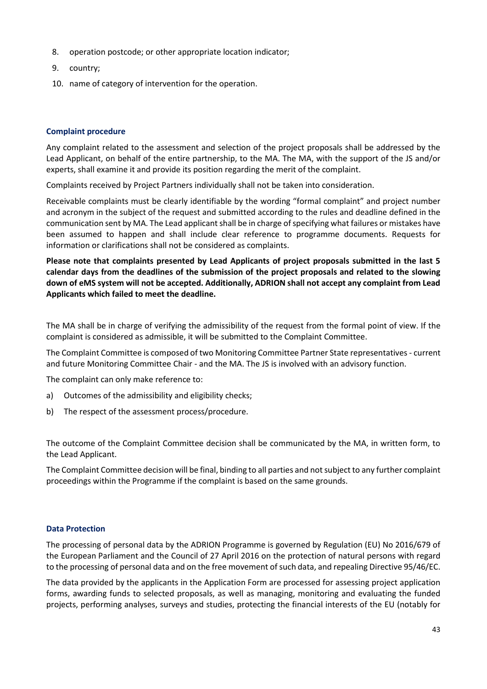- 8. operation postcode; or other appropriate location indicator;
- 9. country;
- 10. name of category of intervention for the operation.

# <span id="page-42-0"></span>**Complaint procedure**

Any complaint related to the assessment and selection of the project proposals shall be addressed by the Lead Applicant, on behalf of the entire partnership, to the MA. The MA, with the support of the JS and/or experts, shall examine it and provide its position regarding the merit of the complaint.

Complaints received by Project Partners individually shall not be taken into consideration.

Receivable complaints must be clearly identifiable by the wording "formal complaint" and project number and acronym in the subject of the request and submitted according to the rules and deadline defined in the communication sent by MA. The Lead applicant shall be in charge of specifying what failures or mistakes have been assumed to happen and shall include clear reference to programme documents. Requests for information or clarifications shall not be considered as complaints.

**Please note that complaints presented by Lead Applicants of project proposals submitted in the last 5 calendar days from the deadlines of the submission of the project proposals and related to the slowing down of eMS system will not be accepted. Additionally, ADRION shall not accept any complaint from Lead Applicants which failed to meet the deadline.** 

The MA shall be in charge of verifying the admissibility of the request from the formal point of view. If the complaint is considered as admissible, it will be submitted to the Complaint Committee.

The Complaint Committee is composed of two Monitoring Committee Partner State representatives - current and future Monitoring Committee Chair - and the MA. The JS is involved with an advisory function.

The complaint can only make reference to:

- a) Outcomes of the admissibility and eligibility checks;
- b) The respect of the assessment process/procedure.

The outcome of the Complaint Committee decision shall be communicated by the MA, in written form, to the Lead Applicant.

The Complaint Committee decision will be final, binding to all parties and not subject to any further complaint proceedings within the Programme if the complaint is based on the same grounds.

# <span id="page-42-1"></span>**Data Protection**

The processing of personal data by the ADRION Programme is governed by Regulation (EU) No 2016/679 of the European Parliament and the Council of 27 April 2016 on the protection of natural persons with regard to the processing of personal data and on the free movement of such data, and repealing Directive 95/46/EC.

The data provided by the applicants in the Application Form are processed for assessing project application forms, awarding funds to selected proposals, as well as managing, monitoring and evaluating the funded projects, performing analyses, surveys and studies, protecting the financial interests of the EU (notably for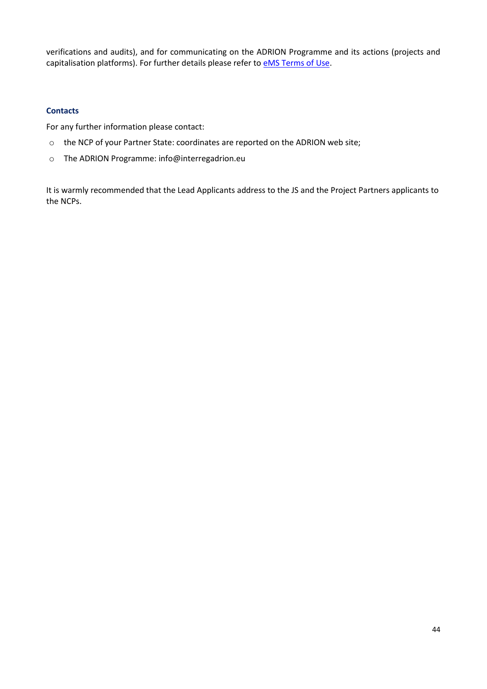verifications and audits), and for communicating on the ADRION Programme and its actions (projects and capitalisation platforms). For further details please refer to **eMS** Terms of Use.

# <span id="page-43-0"></span>**Contacts**

For any further information please contact:

- o the NCP of your Partner State: coordinates are reported on the ADRION web site;
- o The ADRION Programme: info@interregadrion.eu

It is warmly recommended that the Lead Applicants address to the JS and the Project Partners applicants to the NCPs.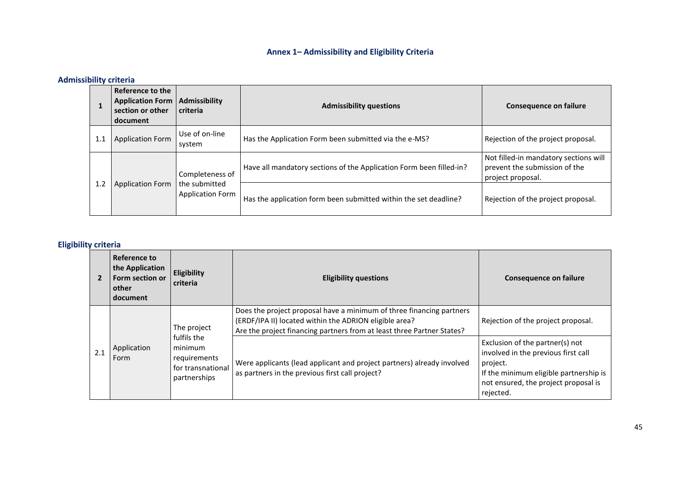# **Annex 1– Admissibility and Eligibility Criteria**

# **Admissibility criteria**

|     | Reference to the<br><b>Application Form</b><br>section or other<br>document | Admissibility<br>criteria                                   | <b>Admissibility questions</b>                                      | <b>Consequence on failure</b>                                                               |
|-----|-----------------------------------------------------------------------------|-------------------------------------------------------------|---------------------------------------------------------------------|---------------------------------------------------------------------------------------------|
| 1.1 | <b>Application Form</b>                                                     | Use of on-line<br>system                                    | Has the Application Form been submitted via the e-MS?               | Rejection of the project proposal.                                                          |
| 1.2 |                                                                             | Completeness of<br>the submitted<br><b>Application Form</b> | Have all mandatory sections of the Application Form been filled-in? | Not filled-in mandatory sections will<br>prevent the submission of the<br>project proposal. |
|     | <b>Application Form</b>                                                     |                                                             | Has the application form been submitted within the set deadline?    | Rejection of the project proposal.                                                          |

# <span id="page-44-0"></span>**Eligibility criteria**

|     | Reference to<br>the Application<br>Form section or<br>other<br>document | Eligibility<br>criteria                                                                    | <b>Eligibility questions</b>                                                                                                                                                                             | <b>Consequence on failure</b>                                                                                                                                                     |
|-----|-------------------------------------------------------------------------|--------------------------------------------------------------------------------------------|----------------------------------------------------------------------------------------------------------------------------------------------------------------------------------------------------------|-----------------------------------------------------------------------------------------------------------------------------------------------------------------------------------|
| 2.1 | Application<br>Form                                                     | The project<br>fulfils the<br>minimum<br>requirements<br>for transnational<br>partnerships | Does the project proposal have a minimum of three financing partners<br>(ERDF/IPA II) located within the ADRION eligible area?<br>Are the project financing partners from at least three Partner States? | Rejection of the project proposal.                                                                                                                                                |
|     |                                                                         |                                                                                            | Were applicants (lead applicant and project partners) already involved<br>as partners in the previous first call project?                                                                                | Exclusion of the partner(s) not<br>involved in the previous first call<br>project.<br>If the minimum eligible partnership is<br>not ensured, the project proposal is<br>rejected. |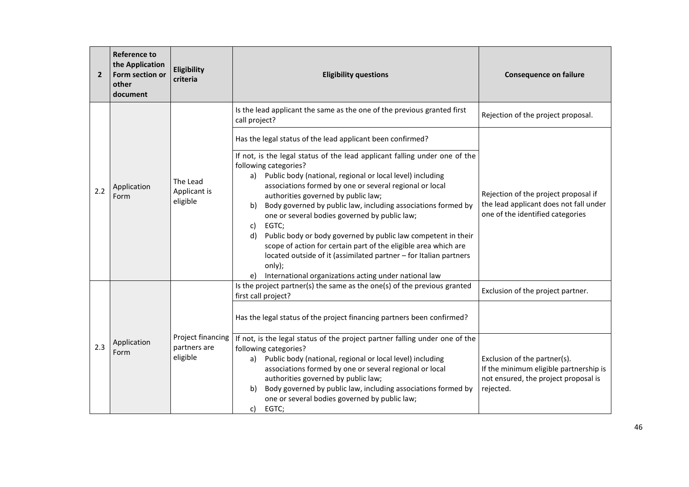| $\overline{2}$ | <b>Reference to</b><br>the Application<br>Form section or<br>other<br>document | Eligibility<br>criteria                       | <b>Eligibility questions</b>                                                                                                                                                                                                                                                                                                                                                                                                                                                                                                                                                                                                                                                                   | <b>Consequence on failure</b>                                                                                               |
|----------------|--------------------------------------------------------------------------------|-----------------------------------------------|------------------------------------------------------------------------------------------------------------------------------------------------------------------------------------------------------------------------------------------------------------------------------------------------------------------------------------------------------------------------------------------------------------------------------------------------------------------------------------------------------------------------------------------------------------------------------------------------------------------------------------------------------------------------------------------------|-----------------------------------------------------------------------------------------------------------------------------|
|                |                                                                                |                                               | Is the lead applicant the same as the one of the previous granted first<br>call project?                                                                                                                                                                                                                                                                                                                                                                                                                                                                                                                                                                                                       | Rejection of the project proposal.                                                                                          |
|                |                                                                                |                                               | Has the legal status of the lead applicant been confirmed?                                                                                                                                                                                                                                                                                                                                                                                                                                                                                                                                                                                                                                     |                                                                                                                             |
| 2.2            | The Lead<br>Application<br>Applicant is<br>Form<br>eligible                    |                                               | If not, is the legal status of the lead applicant falling under one of the<br>following categories?<br>a) Public body (national, regional or local level) including<br>associations formed by one or several regional or local<br>authorities governed by public law;<br>Body governed by public law, including associations formed by<br>b)<br>one or several bodies governed by public law;<br>EGTC:<br>c)<br>Public body or body governed by public law competent in their<br>d)<br>scope of action for certain part of the eligible area which are<br>located outside of it (assimilated partner - for Italian partners<br>only);<br>International organizations acting under national law | Rejection of the project proposal if<br>the lead applicant does not fall under<br>one of the identified categories          |
|                | Application<br>Form                                                            | Project financing<br>partners are<br>eligible | Is the project partner(s) the same as the one(s) of the previous granted<br>first call project?                                                                                                                                                                                                                                                                                                                                                                                                                                                                                                                                                                                                | Exclusion of the project partner.                                                                                           |
| 2.3            |                                                                                |                                               | Has the legal status of the project financing partners been confirmed?                                                                                                                                                                                                                                                                                                                                                                                                                                                                                                                                                                                                                         |                                                                                                                             |
|                |                                                                                |                                               | If not, is the legal status of the project partner falling under one of the<br>following categories?<br>a) Public body (national, regional or local level) including<br>associations formed by one or several regional or local<br>authorities governed by public law;<br>Body governed by public law, including associations formed by<br>b)<br>one or several bodies governed by public law;<br>EGTC;<br>c)                                                                                                                                                                                                                                                                                  | Exclusion of the partner(s).<br>If the minimum eligible partnership is<br>not ensured, the project proposal is<br>rejected. |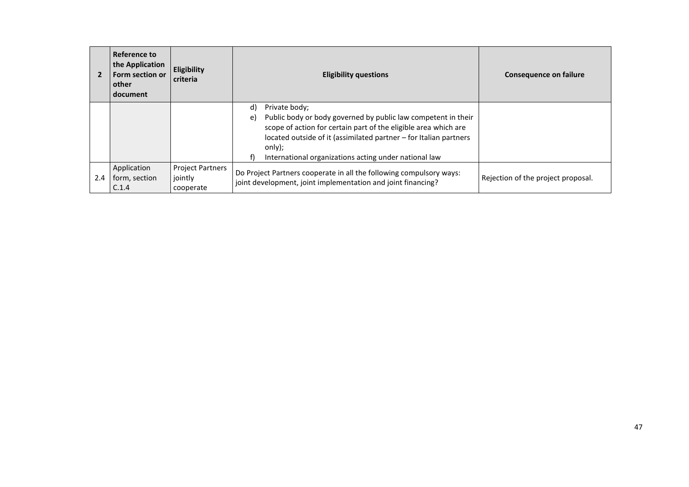|     | Reference to<br>the Application<br>Form section or<br>other<br>l document | Eligibility<br>criteria                         | <b>Eligibility questions</b>                                                                                                                                                                                                                                                                          | <b>Consequence on failure</b>      |
|-----|---------------------------------------------------------------------------|-------------------------------------------------|-------------------------------------------------------------------------------------------------------------------------------------------------------------------------------------------------------------------------------------------------------------------------------------------------------|------------------------------------|
|     |                                                                           |                                                 | d)<br>Private body;<br>Public body or body governed by public law competent in their<br>e)<br>scope of action for certain part of the eligible area which are<br>located outside of it (assimilated partner - for Italian partners<br>only);<br>International organizations acting under national law |                                    |
| 2.4 | Application<br>form, section<br>C.1.4                                     | <b>Project Partners</b><br>jointly<br>cooperate | Do Project Partners cooperate in all the following compulsory ways:<br>joint development, joint implementation and joint financing?                                                                                                                                                                   | Rejection of the project proposal. |